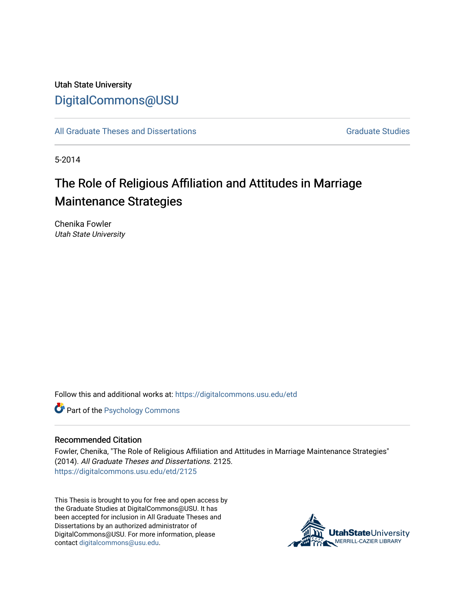# Utah State University [DigitalCommons@USU](https://digitalcommons.usu.edu/)

[All Graduate Theses and Dissertations](https://digitalcommons.usu.edu/etd) [Graduate Studies](https://digitalcommons.usu.edu/gradstudies) Graduate Studies

5-2014

# The Role of Religious Affiliation and Attitudes in Marriage Maintenance Strategies

Chenika Fowler Utah State University

Follow this and additional works at: [https://digitalcommons.usu.edu/etd](https://digitalcommons.usu.edu/etd?utm_source=digitalcommons.usu.edu%2Fetd%2F2125&utm_medium=PDF&utm_campaign=PDFCoverPages) 

**Part of the Psychology Commons** 

#### Recommended Citation

Fowler, Chenika, "The Role of Religious Affiliation and Attitudes in Marriage Maintenance Strategies" (2014). All Graduate Theses and Dissertations. 2125. [https://digitalcommons.usu.edu/etd/2125](https://digitalcommons.usu.edu/etd/2125?utm_source=digitalcommons.usu.edu%2Fetd%2F2125&utm_medium=PDF&utm_campaign=PDFCoverPages)

This Thesis is brought to you for free and open access by the Graduate Studies at DigitalCommons@USU. It has been accepted for inclusion in All Graduate Theses and Dissertations by an authorized administrator of DigitalCommons@USU. For more information, please contact [digitalcommons@usu.edu](mailto:digitalcommons@usu.edu).

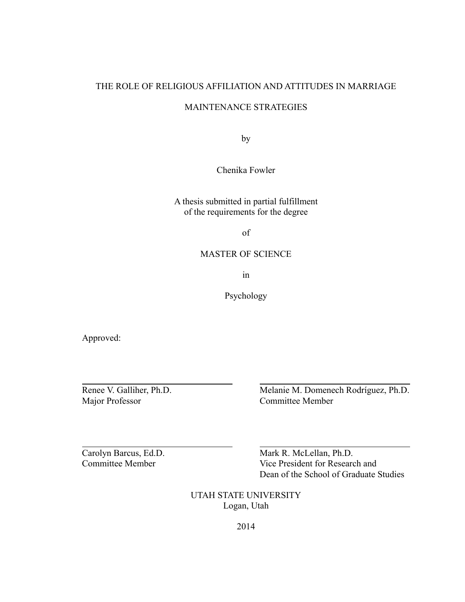# THE ROLE OF RELIGIOUS AFFILIATION AND ATTITUDES IN MARRIAGE

### MAINTENANCE STRATEGIES

by

Chenika Fowler

# A thesis submitted in partial fulfillment of the requirements for the degree

of

# MASTER OF SCIENCE

in

Psychology

Approved:

 $\overline{a}$ 

Renee V. Galliher, Ph.D.

Renee V. Galliher, Ph.D.<br>
Melanie M. Domenech Rodríguez, Ph.D.<br>
Committee Member Committee Member

Carolyn Barcus, Ed.D. Mark R. McLellan, Ph.D. Committee Member Vice President for Research and Dean of the School of Graduate Studies

> UTAH STATE UNIVERSITY Logan, Utah

> > 2014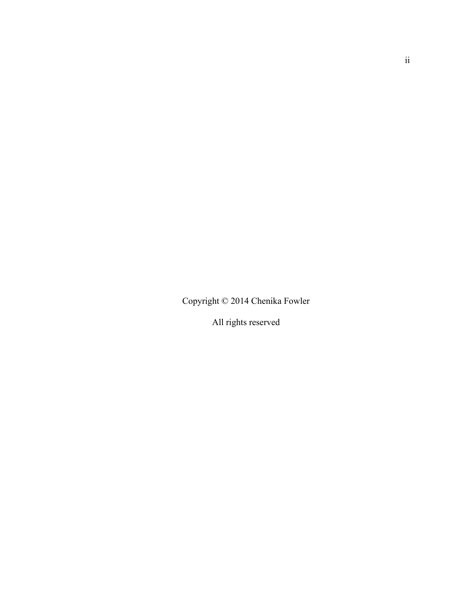Copyright © 2014 Chenika Fowler

All rights reserved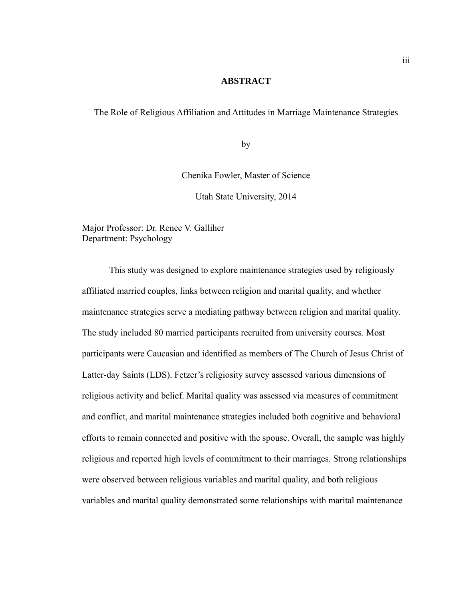#### **ABSTRACT**

The Role of Religious Affiliation and Attitudes in Marriage Maintenance Strategies

by

Chenika Fowler, Master of Science

Utah State University, 2014

Major Professor: Dr. Renee V. Galliher Department: Psychology

 This study was designed to explore maintenance strategies used by religiously affiliated married couples, links between religion and marital quality, and whether maintenance strategies serve a mediating pathway between religion and marital quality. The study included 80 married participants recruited from university courses. Most participants were Caucasian and identified as members of The Church of Jesus Christ of Latter-day Saints (LDS). Fetzer's religiosity survey assessed various dimensions of religious activity and belief. Marital quality was assessed via measures of commitment and conflict, and marital maintenance strategies included both cognitive and behavioral efforts to remain connected and positive with the spouse. Overall, the sample was highly religious and reported high levels of commitment to their marriages. Strong relationships were observed between religious variables and marital quality, and both religious variables and marital quality demonstrated some relationships with marital maintenance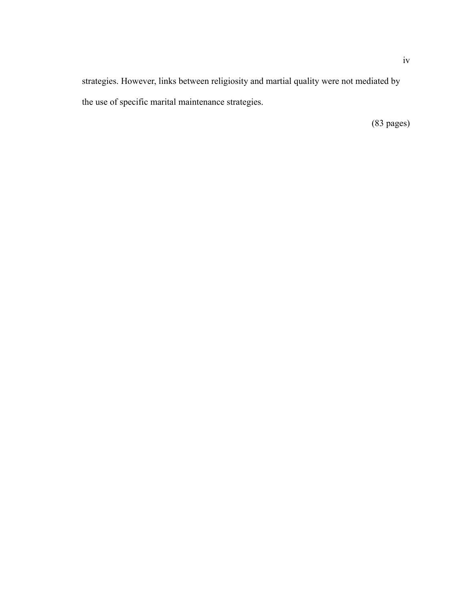strategies. However, links between religiosity and martial quality were not mediated by the use of specific marital maintenance strategies.

(83 pages)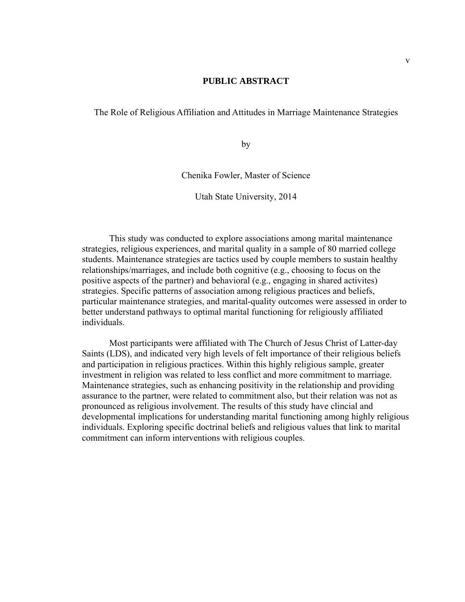#### **PUBLIC ABSTRACT**

The Role of Religious Affiliation and Attitudes in Marriage Maintenance Strategies

by

Chenika Fowler, Master of Science

Utah State University, 2014

This study was conducted to explore associations among marital maintenance strategies, religious experiences, and marital quality in a sample of 80 married college students. Maintenance strategies are tactics used by couple members to sustain healthy relationships/marriages, and include both cognitive (e.g., choosing to focus on the positive aspects of the partner) and behavioral (e.g., engaging in shared activites) strategies. Specific patterns of association among religious practices and beliefs, particular maintenance strategies, and marital-quality outcomes were assessed in order to better understand pathways to optimal marital functioning for religiously affiliated individuals.

Most participants were affiliated with The Church of Jesus Christ of Latter-day Saints (LDS), and indicated very high levels of felt importance of their religious beliefs and participation in religious practices. Within this highly religious sample, greater investment in religion was related to less conflict and more commitment to marriage. Maintenance strategies, such as enhancing positivity in the relationship and providing assurance to the partner, were related to commitment also, but their relation was not as pronounced as religious involvement. The results of this study have clincial and developmental implications for understanding marital functioning among highly religious individuals. Exploring specific doctrinal beliefs and religious values that link to marital commitment can inform interventions with religious couples.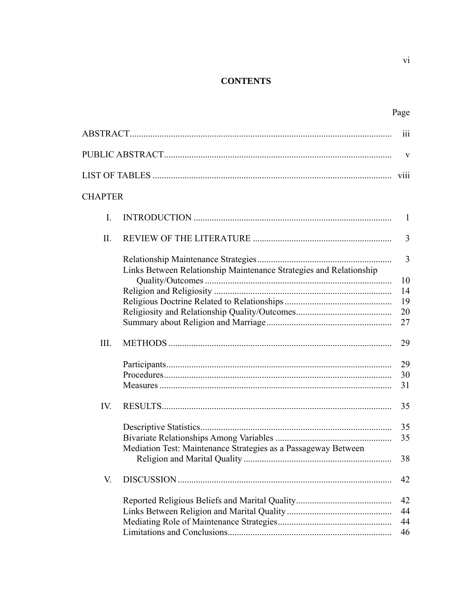# **CONTENTS**

|                |                                                                    | 111            |  |  |
|----------------|--------------------------------------------------------------------|----------------|--|--|
|                |                                                                    | V              |  |  |
| V111           |                                                                    |                |  |  |
| <b>CHAPTER</b> |                                                                    |                |  |  |
| I.             |                                                                    | 1              |  |  |
| II.            |                                                                    | $\overline{3}$ |  |  |
|                |                                                                    | $\overline{3}$ |  |  |
|                | Links Between Relationship Maintenance Strategies and Relationship | 10             |  |  |
|                |                                                                    | 14             |  |  |
|                |                                                                    | 19             |  |  |
|                |                                                                    | 20             |  |  |
|                |                                                                    | 27             |  |  |
| III.           |                                                                    | 29             |  |  |
|                |                                                                    | 29             |  |  |
|                |                                                                    | 30             |  |  |
|                |                                                                    | 31             |  |  |
| IV.            |                                                                    | 35             |  |  |
|                |                                                                    | 35             |  |  |
|                |                                                                    | 35             |  |  |
|                | Mediation Test: Maintenance Strategies as a Passageway Between     | 38             |  |  |
| V.             |                                                                    | 42             |  |  |
|                |                                                                    | 42             |  |  |
|                |                                                                    | 44             |  |  |
|                |                                                                    | 44             |  |  |
|                |                                                                    | 46             |  |  |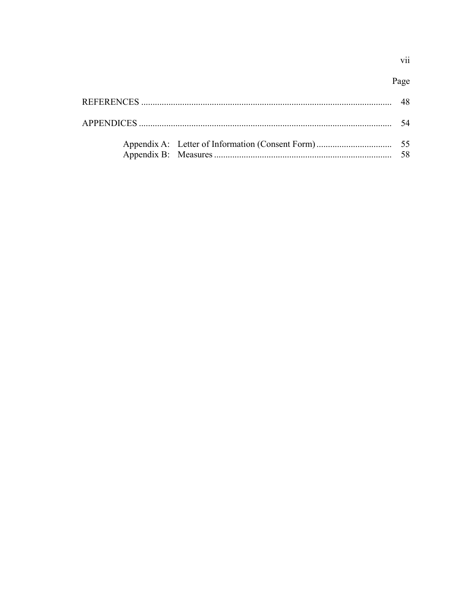vii

|  | -54 |
|--|-----|
|  | -58 |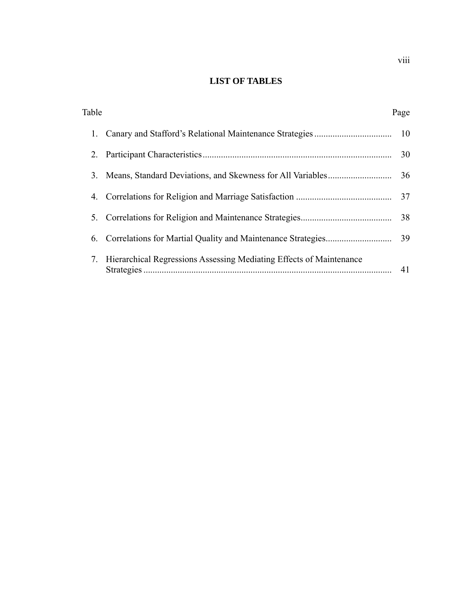# **LIST OF TABLES**

| Table |                                                                     | Page |
|-------|---------------------------------------------------------------------|------|
|       |                                                                     |      |
| 2.    |                                                                     | 30   |
| 3.    |                                                                     |      |
| 4.    |                                                                     | 37   |
| 5.    |                                                                     | 38   |
| 6.    |                                                                     |      |
| 7.    | Hierarchical Regressions Assessing Mediating Effects of Maintenance | 41   |

viii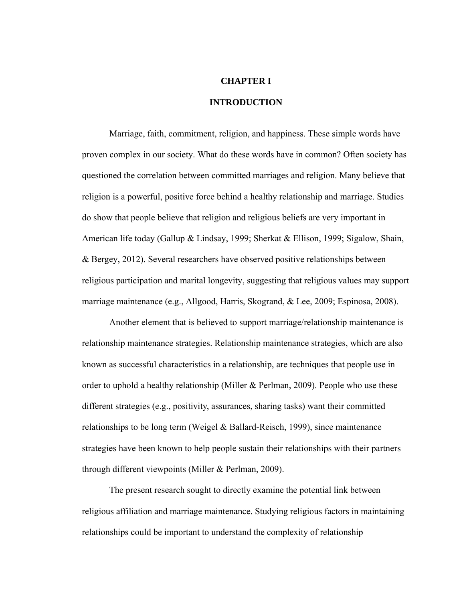# **CHAPTER I**

#### **INTRODUCTION**

Marriage, faith, commitment, religion, and happiness. These simple words have proven complex in our society. What do these words have in common? Often society has questioned the correlation between committed marriages and religion. Many believe that religion is a powerful, positive force behind a healthy relationship and marriage. Studies do show that people believe that religion and religious beliefs are very important in American life today (Gallup & Lindsay, 1999; Sherkat & Ellison, 1999; Sigalow, Shain, & Bergey, 2012). Several researchers have observed positive relationships between religious participation and marital longevity, suggesting that religious values may support marriage maintenance (e.g., Allgood, Harris, Skogrand, & Lee, 2009; Espinosa, 2008).

Another element that is believed to support marriage/relationship maintenance is relationship maintenance strategies. Relationship maintenance strategies, which are also known as successful characteristics in a relationship, are techniques that people use in order to uphold a healthy relationship (Miller & Perlman, 2009). People who use these different strategies (e.g., positivity, assurances, sharing tasks) want their committed relationships to be long term (Weigel & Ballard-Reisch, 1999), since maintenance strategies have been known to help people sustain their relationships with their partners through different viewpoints (Miller & Perlman, 2009).

The present research sought to directly examine the potential link between religious affiliation and marriage maintenance. Studying religious factors in maintaining relationships could be important to understand the complexity of relationship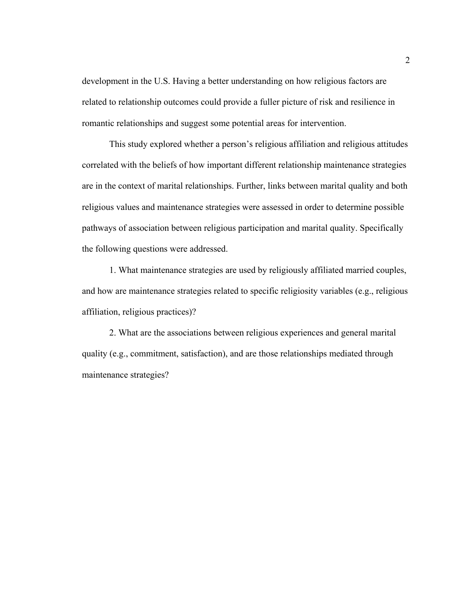development in the U.S. Having a better understanding on how religious factors are related to relationship outcomes could provide a fuller picture of risk and resilience in romantic relationships and suggest some potential areas for intervention.

This study explored whether a person's religious affiliation and religious attitudes correlated with the beliefs of how important different relationship maintenance strategies are in the context of marital relationships. Further, links between marital quality and both religious values and maintenance strategies were assessed in order to determine possible pathways of association between religious participation and marital quality. Specifically the following questions were addressed.

1. What maintenance strategies are used by religiously affiliated married couples, and how are maintenance strategies related to specific religiosity variables (e.g., religious affiliation, religious practices)?

2. What are the associations between religious experiences and general marital quality (e.g., commitment, satisfaction), and are those relationships mediated through maintenance strategies?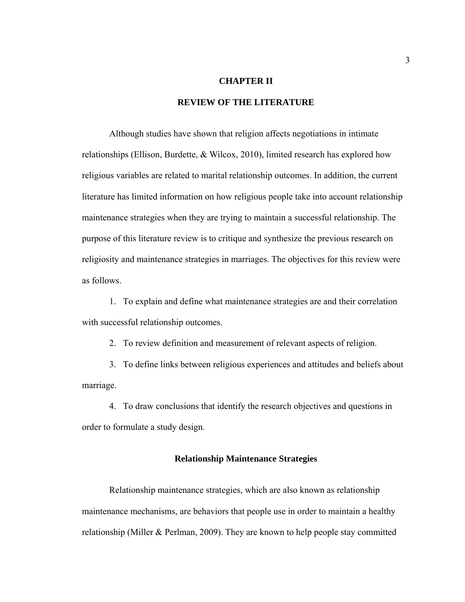# **CHAPTER II**

# **REVIEW OF THE LITERATURE**

 Although studies have shown that religion affects negotiations in intimate relationships (Ellison, Burdette, & Wilcox, 2010), limited research has explored how religious variables are related to marital relationship outcomes. In addition, the current literature has limited information on how religious people take into account relationship maintenance strategies when they are trying to maintain a successful relationship. The purpose of this literature review is to critique and synthesize the previous research on religiosity and maintenance strategies in marriages. The objectives for this review were as follows.

1. To explain and define what maintenance strategies are and their correlation with successful relationship outcomes.

2. To review definition and measurement of relevant aspects of religion.

3. To define links between religious experiences and attitudes and beliefs about marriage.

4. To draw conclusions that identify the research objectives and questions in order to formulate a study design.

#### **Relationship Maintenance Strategies**

Relationship maintenance strategies, which are also known as relationship maintenance mechanisms, are behaviors that people use in order to maintain a healthy relationship (Miller & Perlman, 2009). They are known to help people stay committed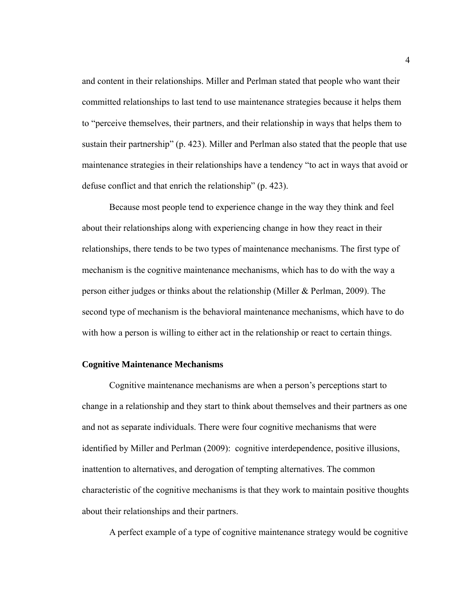and content in their relationships. Miller and Perlman stated that people who want their committed relationships to last tend to use maintenance strategies because it helps them to "perceive themselves, their partners, and their relationship in ways that helps them to sustain their partnership" (p. 423). Miller and Perlman also stated that the people that use maintenance strategies in their relationships have a tendency "to act in ways that avoid or defuse conflict and that enrich the relationship" (p. 423).

Because most people tend to experience change in the way they think and feel about their relationships along with experiencing change in how they react in their relationships, there tends to be two types of maintenance mechanisms. The first type of mechanism is the cognitive maintenance mechanisms, which has to do with the way a person either judges or thinks about the relationship (Miller & Perlman, 2009). The second type of mechanism is the behavioral maintenance mechanisms, which have to do with how a person is willing to either act in the relationship or react to certain things.

#### **Cognitive Maintenance Mechanisms**

Cognitive maintenance mechanisms are when a person's perceptions start to change in a relationship and they start to think about themselves and their partners as one and not as separate individuals. There were four cognitive mechanisms that were identified by Miller and Perlman (2009): cognitive interdependence, positive illusions, inattention to alternatives, and derogation of tempting alternatives. The common characteristic of the cognitive mechanisms is that they work to maintain positive thoughts about their relationships and their partners.

A perfect example of a type of cognitive maintenance strategy would be cognitive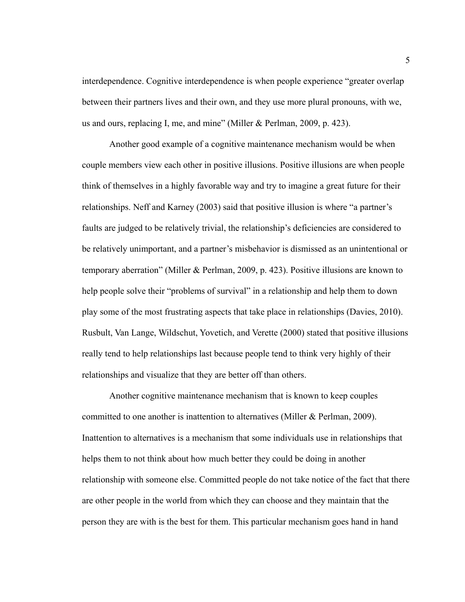interdependence. Cognitive interdependence is when people experience "greater overlap between their partners lives and their own, and they use more plural pronouns, with we, us and ours, replacing I, me, and mine" (Miller & Perlman, 2009, p. 423).

Another good example of a cognitive maintenance mechanism would be when couple members view each other in positive illusions. Positive illusions are when people think of themselves in a highly favorable way and try to imagine a great future for their relationships. Neff and Karney (2003) said that positive illusion is where "a partner's faults are judged to be relatively trivial, the relationship's deficiencies are considered to be relatively unimportant, and a partner's misbehavior is dismissed as an unintentional or temporary aberration" (Miller & Perlman, 2009, p. 423). Positive illusions are known to help people solve their "problems of survival" in a relationship and help them to down play some of the most frustrating aspects that take place in relationships (Davies, 2010). Rusbult, Van Lange, Wildschut, Yovetich, and Verette (2000) stated that positive illusions really tend to help relationships last because people tend to think very highly of their relationships and visualize that they are better off than others.

Another cognitive maintenance mechanism that is known to keep couples committed to one another is inattention to alternatives (Miller & Perlman, 2009). Inattention to alternatives is a mechanism that some individuals use in relationships that helps them to not think about how much better they could be doing in another relationship with someone else. Committed people do not take notice of the fact that there are other people in the world from which they can choose and they maintain that the person they are with is the best for them. This particular mechanism goes hand in hand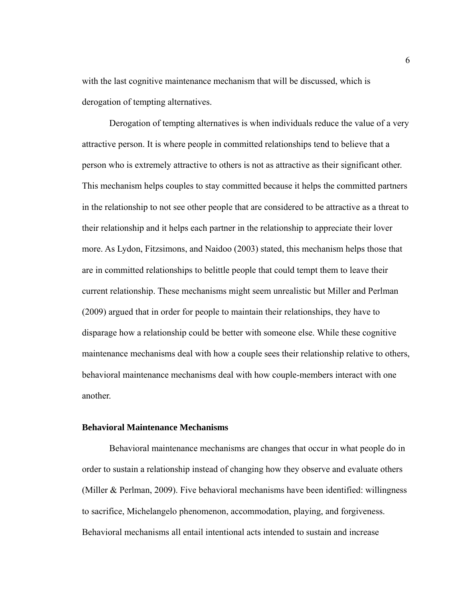with the last cognitive maintenance mechanism that will be discussed, which is derogation of tempting alternatives.

Derogation of tempting alternatives is when individuals reduce the value of a very attractive person. It is where people in committed relationships tend to believe that a person who is extremely attractive to others is not as attractive as their significant other. This mechanism helps couples to stay committed because it helps the committed partners in the relationship to not see other people that are considered to be attractive as a threat to their relationship and it helps each partner in the relationship to appreciate their lover more. As Lydon, Fitzsimons, and Naidoo (2003) stated, this mechanism helps those that are in committed relationships to belittle people that could tempt them to leave their current relationship. These mechanisms might seem unrealistic but Miller and Perlman (2009) argued that in order for people to maintain their relationships, they have to disparage how a relationship could be better with someone else. While these cognitive maintenance mechanisms deal with how a couple sees their relationship relative to others, behavioral maintenance mechanisms deal with how couple-members interact with one another.

#### **Behavioral Maintenance Mechanisms**

Behavioral maintenance mechanisms are changes that occur in what people do in order to sustain a relationship instead of changing how they observe and evaluate others (Miller & Perlman, 2009). Five behavioral mechanisms have been identified: willingness to sacrifice, Michelangelo phenomenon, accommodation, playing, and forgiveness. Behavioral mechanisms all entail intentional acts intended to sustain and increase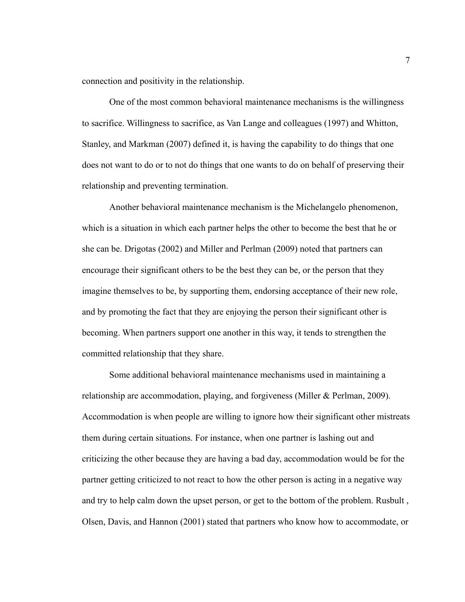connection and positivity in the relationship.

One of the most common behavioral maintenance mechanisms is the willingness to sacrifice. Willingness to sacrifice, as Van Lange and colleagues (1997) and Whitton, Stanley, and Markman (2007) defined it, is having the capability to do things that one does not want to do or to not do things that one wants to do on behalf of preserving their relationship and preventing termination.

Another behavioral maintenance mechanism is the Michelangelo phenomenon, which is a situation in which each partner helps the other to become the best that he or she can be. Drigotas (2002) and Miller and Perlman (2009) noted that partners can encourage their significant others to be the best they can be, or the person that they imagine themselves to be, by supporting them, endorsing acceptance of their new role, and by promoting the fact that they are enjoying the person their significant other is becoming. When partners support one another in this way, it tends to strengthen the committed relationship that they share.

Some additional behavioral maintenance mechanisms used in maintaining a relationship are accommodation, playing, and forgiveness (Miller & Perlman, 2009). Accommodation is when people are willing to ignore how their significant other mistreats them during certain situations. For instance, when one partner is lashing out and criticizing the other because they are having a bad day, accommodation would be for the partner getting criticized to not react to how the other person is acting in a negative way and try to help calm down the upset person, or get to the bottom of the problem. Rusbult , Olsen, Davis, and Hannon (2001) stated that partners who know how to accommodate, or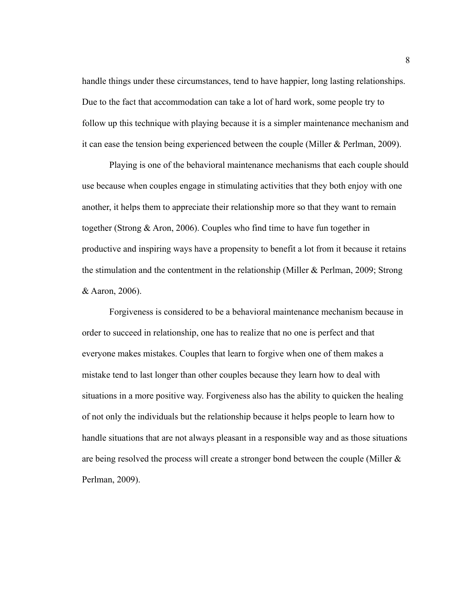handle things under these circumstances, tend to have happier, long lasting relationships. Due to the fact that accommodation can take a lot of hard work, some people try to follow up this technique with playing because it is a simpler maintenance mechanism and it can ease the tension being experienced between the couple (Miller & Perlman, 2009).

Playing is one of the behavioral maintenance mechanisms that each couple should use because when couples engage in stimulating activities that they both enjoy with one another, it helps them to appreciate their relationship more so that they want to remain together (Strong & Aron, 2006). Couples who find time to have fun together in productive and inspiring ways have a propensity to benefit a lot from it because it retains the stimulation and the contentment in the relationship (Miller & Perlman, 2009; Strong & Aaron, 2006).

Forgiveness is considered to be a behavioral maintenance mechanism because in order to succeed in relationship, one has to realize that no one is perfect and that everyone makes mistakes. Couples that learn to forgive when one of them makes a mistake tend to last longer than other couples because they learn how to deal with situations in a more positive way. Forgiveness also has the ability to quicken the healing of not only the individuals but the relationship because it helps people to learn how to handle situations that are not always pleasant in a responsible way and as those situations are being resolved the process will create a stronger bond between the couple (Miller & Perlman, 2009).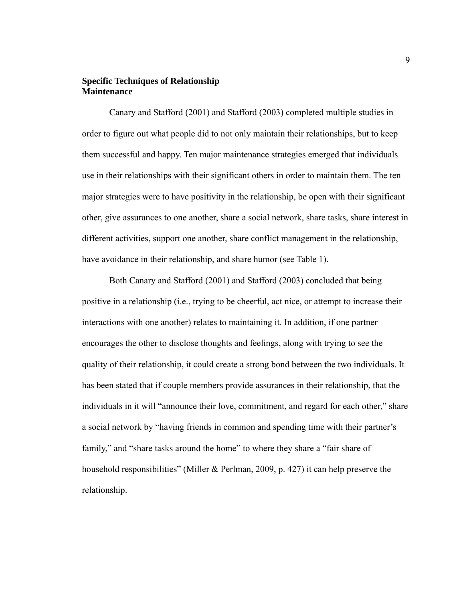# **Specific Techniques of Relationship Maintenance**

Canary and Stafford (2001) and Stafford (2003) completed multiple studies in order to figure out what people did to not only maintain their relationships, but to keep them successful and happy. Ten major maintenance strategies emerged that individuals use in their relationships with their significant others in order to maintain them. The ten major strategies were to have positivity in the relationship, be open with their significant other, give assurances to one another, share a social network, share tasks, share interest in different activities, support one another, share conflict management in the relationship, have avoidance in their relationship, and share humor (see Table 1).

Both Canary and Stafford (2001) and Stafford (2003) concluded that being positive in a relationship (i.e., trying to be cheerful, act nice, or attempt to increase their interactions with one another) relates to maintaining it. In addition, if one partner encourages the other to disclose thoughts and feelings, along with trying to see the quality of their relationship, it could create a strong bond between the two individuals. It has been stated that if couple members provide assurances in their relationship, that the individuals in it will "announce their love, commitment, and regard for each other," share a social network by "having friends in common and spending time with their partner's family," and "share tasks around the home" to where they share a "fair share of household responsibilities" (Miller & Perlman, 2009, p. 427) it can help preserve the relationship.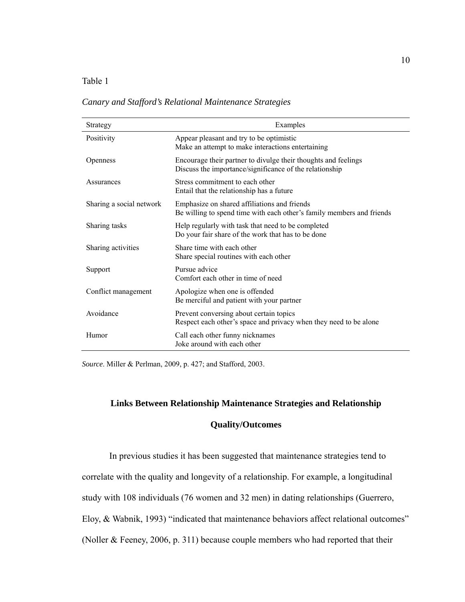## Table 1

*Canary and Stafford's Relational Maintenance Strategies* 

| Strategy                 | Examples                                                                                                                  |
|--------------------------|---------------------------------------------------------------------------------------------------------------------------|
| Positivity               | Appear pleasant and try to be optimistic<br>Make an attempt to make interactions entertaining                             |
| Openness                 | Encourage their partner to divulge their thoughts and feelings<br>Discuss the importance/significance of the relationship |
| Assurances               | Stress commitment to each other<br>Entail that the relationship has a future                                              |
| Sharing a social network | Emphasize on shared affiliations and friends<br>Be willing to spend time with each other's family members and friends     |
| Sharing tasks            | Help regularly with task that need to be completed<br>Do your fair share of the work that has to be done                  |
| Sharing activities       | Share time with each other<br>Share special routines with each other                                                      |
| Support                  | Pursue advice<br>Comfort each other in time of need                                                                       |
| Conflict management      | Apologize when one is offended<br>Be merciful and patient with your partner                                               |
| Avoidance                | Prevent conversing about certain topics<br>Respect each other's space and privacy when they need to be alone              |
| Humor                    | Call each other funny nicknames<br>Joke around with each other                                                            |

*Source*. Miller & Perlman, 2009, p. 427; and Stafford, 2003.

#### **Links Between Relationship Maintenance Strategies and Relationship**

# **Quality/Outcomes**

In previous studies it has been suggested that maintenance strategies tend to correlate with the quality and longevity of a relationship. For example, a longitudinal study with 108 individuals (76 women and 32 men) in dating relationships (Guerrero, Eloy, & Wabnik, 1993) "indicated that maintenance behaviors affect relational outcomes" (Noller & Feeney, 2006, p. 311) because couple members who had reported that their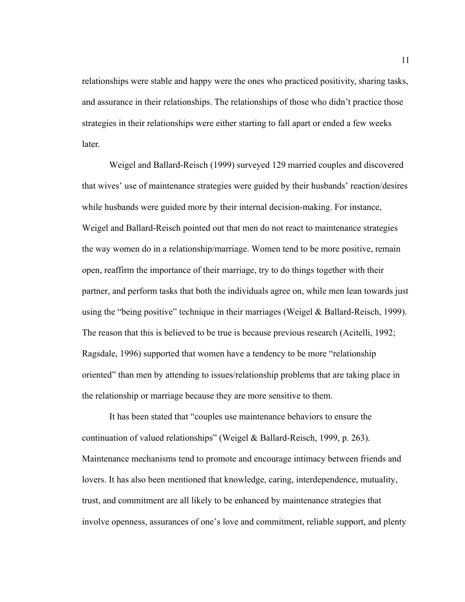relationships were stable and happy were the ones who practiced positivity, sharing tasks, and assurance in their relationships. The relationships of those who didn't practice those strategies in their relationships were either starting to fall apart or ended a few weeks later.

Weigel and Ballard-Reisch (1999) surveyed 129 married couples and discovered that wives' use of maintenance strategies were guided by their husbands' reaction/desires while husbands were guided more by their internal decision-making. For instance, Weigel and Ballard-Reisch pointed out that men do not react to maintenance strategies the way women do in a relationship/marriage. Women tend to be more positive, remain open, reaffirm the importance of their marriage, try to do things together with their partner, and perform tasks that both the individuals agree on, while men lean towards just using the "being positive" technique in their marriages (Weigel & Ballard-Reisch, 1999). The reason that this is believed to be true is because previous research (Acitelli, 1992; Ragsdale, 1996) supported that women have a tendency to be more "relationship oriented" than men by attending to issues/relationship problems that are taking place in the relationship or marriage because they are more sensitive to them.

It has been stated that "couples use maintenance behaviors to ensure the continuation of valued relationships" (Weigel & Ballard-Reisch, 1999, p. 263). Maintenance mechanisms tend to promote and encourage intimacy between friends and lovers. It has also been mentioned that knowledge, caring, interdependence, mutuality, trust, and commitment are all likely to be enhanced by maintenance strategies that involve openness, assurances of one's love and commitment, reliable support, and plenty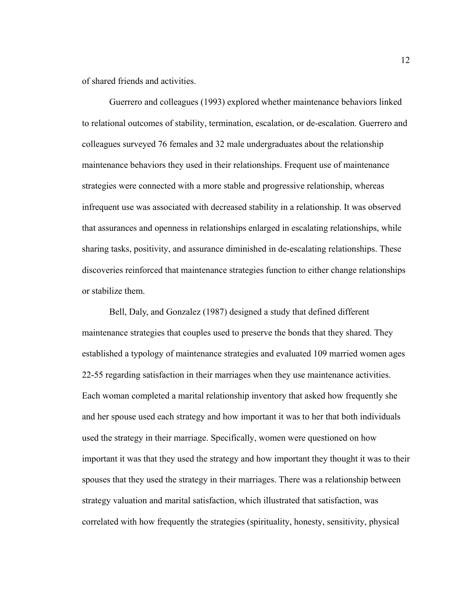of shared friends and activities.

Guerrero and colleagues (1993) explored whether maintenance behaviors linked to relational outcomes of stability, termination, escalation, or de-escalation. Guerrero and colleagues surveyed 76 females and 32 male undergraduates about the relationship maintenance behaviors they used in their relationships. Frequent use of maintenance strategies were connected with a more stable and progressive relationship, whereas infrequent use was associated with decreased stability in a relationship. It was observed that assurances and openness in relationships enlarged in escalating relationships, while sharing tasks, positivity, and assurance diminished in de-escalating relationships. These discoveries reinforced that maintenance strategies function to either change relationships or stabilize them.

Bell, Daly, and Gonzalez (1987) designed a study that defined different maintenance strategies that couples used to preserve the bonds that they shared. They established a typology of maintenance strategies and evaluated 109 married women ages 22-55 regarding satisfaction in their marriages when they use maintenance activities. Each woman completed a marital relationship inventory that asked how frequently she and her spouse used each strategy and how important it was to her that both individuals used the strategy in their marriage. Specifically, women were questioned on how important it was that they used the strategy and how important they thought it was to their spouses that they used the strategy in their marriages. There was a relationship between strategy valuation and marital satisfaction, which illustrated that satisfaction, was correlated with how frequently the strategies (spirituality, honesty, sensitivity, physical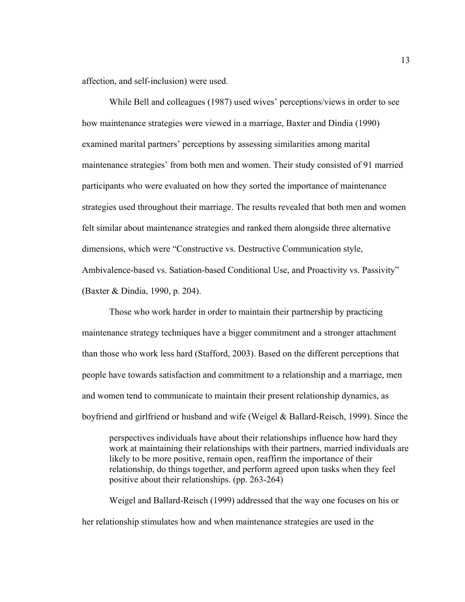affection, and self-inclusion) were used.

While Bell and colleagues (1987) used wives' perceptions/views in order to see how maintenance strategies were viewed in a marriage, Baxter and Dindia (1990) examined marital partners' perceptions by assessing similarities among marital maintenance strategies' from both men and women. Their study consisted of 91 married participants who were evaluated on how they sorted the importance of maintenance strategies used throughout their marriage. The results revealed that both men and women felt similar about maintenance strategies and ranked them alongside three alternative dimensions, which were "Constructive vs. Destructive Communication style, Ambivalence-based vs. Satiation-based Conditional Use, and Proactivity vs. Passivity" (Baxter & Dindia, 1990, p. 204).

Those who work harder in order to maintain their partnership by practicing maintenance strategy techniques have a bigger commitment and a stronger attachment than those who work less hard (Stafford, 2003). Based on the different perceptions that people have towards satisfaction and commitment to a relationship and a marriage, men and women tend to communicate to maintain their present relationship dynamics, as boyfriend and girlfriend or husband and wife (Weigel & Ballard-Reisch, 1999). Since the

perspectives individuals have about their relationships influence how hard they work at maintaining their relationships with their partners, married individuals are likely to be more positive, remain open, reaffirm the importance of their relationship, do things together, and perform agreed upon tasks when they feel positive about their relationships. (pp. 263-264)

Weigel and Ballard-Reisch (1999) addressed that the way one focuses on his or her relationship stimulates how and when maintenance strategies are used in the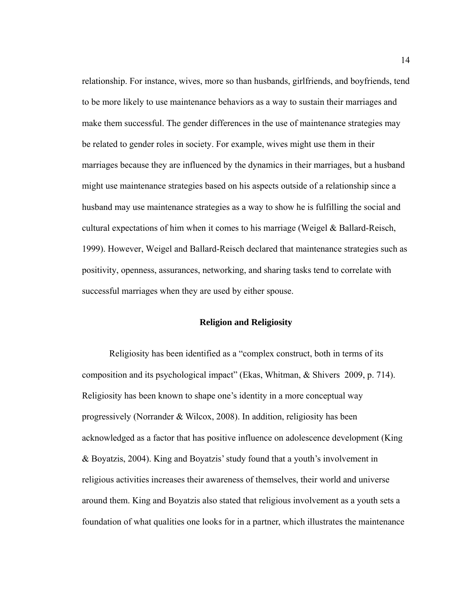relationship. For instance, wives, more so than husbands, girlfriends, and boyfriends, tend to be more likely to use maintenance behaviors as a way to sustain their marriages and make them successful. The gender differences in the use of maintenance strategies may be related to gender roles in society. For example, wives might use them in their marriages because they are influenced by the dynamics in their marriages, but a husband might use maintenance strategies based on his aspects outside of a relationship since a husband may use maintenance strategies as a way to show he is fulfilling the social and cultural expectations of him when it comes to his marriage (Weigel & Ballard-Reisch, 1999). However, Weigel and Ballard-Reisch declared that maintenance strategies such as positivity, openness, assurances, networking, and sharing tasks tend to correlate with successful marriages when they are used by either spouse.

#### **Religion and Religiosity**

Religiosity has been identified as a "complex construct, both in terms of its composition and its psychological impact" (Ekas, Whitman, & Shivers 2009, p. 714). Religiosity has been known to shape one's identity in a more conceptual way progressively (Norrander & Wilcox, 2008). In addition, religiosity has been acknowledged as a factor that has positive influence on adolescence development (King & Boyatzis, 2004). King and Boyatzis' study found that a youth's involvement in religious activities increases their awareness of themselves, their world and universe around them. King and Boyatzis also stated that religious involvement as a youth sets a foundation of what qualities one looks for in a partner, which illustrates the maintenance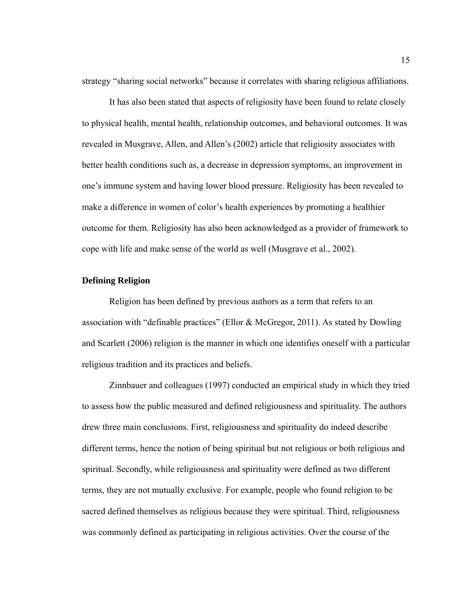strategy "sharing social networks" because it correlates with sharing religious affiliations.

It has also been stated that aspects of religiosity have been found to relate closely to physical health, mental health, relationship outcomes, and behavioral outcomes. It was revealed in Musgrave, Allen, and Allen's (2002) article that religiosity associates with better health conditions such as, a decrease in depression symptoms, an improvement in one's immune system and having lower blood pressure. Religiosity has been revealed to make a difference in women of color's health experiences by promoting a healthier outcome for them. Religiosity has also been acknowledged as a provider of framework to cope with life and make sense of the world as well (Musgrave et al., 2002).

# **Defining Religion**

Religion has been defined by previous authors as a term that refers to an association with "definable practices" (Ellor & McGregor, 2011). As stated by Dowling and Scarlett (2006) religion is the manner in which one identifies oneself with a particular religious tradition and its practices and beliefs.

Zinnbauer and colleagues (1997) conducted an empirical study in which they tried to assess how the public measured and defined religiousness and spirituality. The authors drew three main conclusions. First, religiousness and spirituality do indeed describe different terms, hence the notion of being spiritual but not religious or both religious and spiritual. Secondly, while religiousness and spirituality were defined as two different terms, they are not mutually exclusive. For example, people who found religion to be sacred defined themselves as religious because they were spiritual. Third, religiousness was commonly defined as participating in religious activities. Over the course of the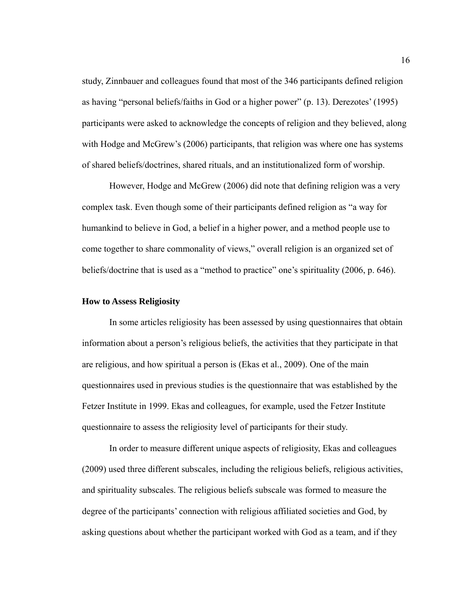study, Zinnbauer and colleagues found that most of the 346 participants defined religion as having "personal beliefs/faiths in God or a higher power" (p. 13). Derezotes' (1995) participants were asked to acknowledge the concepts of religion and they believed, along with Hodge and McGrew's (2006) participants, that religion was where one has systems of shared beliefs/doctrines, shared rituals, and an institutionalized form of worship.

However, Hodge and McGrew (2006) did note that defining religion was a very complex task. Even though some of their participants defined religion as "a way for humankind to believe in God, a belief in a higher power, and a method people use to come together to share commonality of views," overall religion is an organized set of beliefs/doctrine that is used as a "method to practice" one's spirituality (2006, p. 646).

#### **How to Assess Religiosity**

In some articles religiosity has been assessed by using questionnaires that obtain information about a person's religious beliefs, the activities that they participate in that are religious, and how spiritual a person is (Ekas et al., 2009). One of the main questionnaires used in previous studies is the questionnaire that was established by the Fetzer Institute in 1999. Ekas and colleagues, for example, used the Fetzer Institute questionnaire to assess the religiosity level of participants for their study.

In order to measure different unique aspects of religiosity, Ekas and colleagues (2009) used three different subscales, including the religious beliefs, religious activities, and spirituality subscales. The religious beliefs subscale was formed to measure the degree of the participants' connection with religious affiliated societies and God, by asking questions about whether the participant worked with God as a team, and if they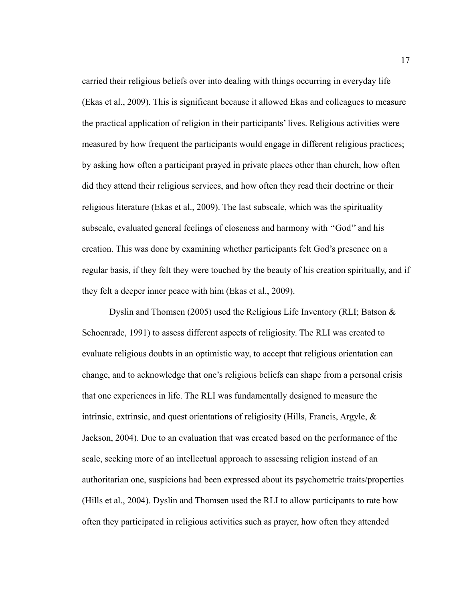carried their religious beliefs over into dealing with things occurring in everyday life (Ekas et al., 2009). This is significant because it allowed Ekas and colleagues to measure the practical application of religion in their participants' lives. Religious activities were measured by how frequent the participants would engage in different religious practices; by asking how often a participant prayed in private places other than church, how often did they attend their religious services, and how often they read their doctrine or their religious literature (Ekas et al., 2009). The last subscale, which was the spirituality subscale, evaluated general feelings of closeness and harmony with ''God'' and his creation. This was done by examining whether participants felt God's presence on a regular basis, if they felt they were touched by the beauty of his creation spiritually, and if they felt a deeper inner peace with him (Ekas et al., 2009).

Dyslin and Thomsen (2005) used the Religious Life Inventory (RLI; Batson & Schoenrade, 1991) to assess different aspects of religiosity. The RLI was created to evaluate religious doubts in an optimistic way, to accept that religious orientation can change, and to acknowledge that one's religious beliefs can shape from a personal crisis that one experiences in life. The RLI was fundamentally designed to measure the intrinsic, extrinsic, and quest orientations of religiosity (Hills, Francis, Argyle, & Jackson, 2004). Due to an evaluation that was created based on the performance of the scale, seeking more of an intellectual approach to assessing religion instead of an authoritarian one, suspicions had been expressed about its psychometric traits/properties (Hills et al., 2004). Dyslin and Thomsen used the RLI to allow participants to rate how often they participated in religious activities such as prayer, how often they attended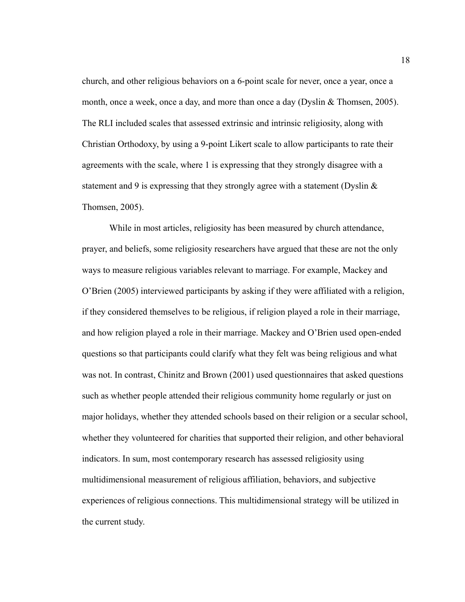church, and other religious behaviors on a 6-point scale for never, once a year, once a month, once a week, once a day, and more than once a day (Dyslin  $&$  Thomsen, 2005). The RLI included scales that assessed extrinsic and intrinsic religiosity, along with Christian Orthodoxy, by using a 9-point Likert scale to allow participants to rate their agreements with the scale, where 1 is expressing that they strongly disagree with a statement and 9 is expressing that they strongly agree with a statement (Dyslin  $\&$ Thomsen, 2005).

While in most articles, religiosity has been measured by church attendance, prayer, and beliefs, some religiosity researchers have argued that these are not the only ways to measure religious variables relevant to marriage. For example, Mackey and O'Brien (2005) interviewed participants by asking if they were affiliated with a religion, if they considered themselves to be religious, if religion played a role in their marriage, and how religion played a role in their marriage. Mackey and O'Brien used open-ended questions so that participants could clarify what they felt was being religious and what was not. In contrast, Chinitz and Brown (2001) used questionnaires that asked questions such as whether people attended their religious community home regularly or just on major holidays, whether they attended schools based on their religion or a secular school, whether they volunteered for charities that supported their religion, and other behavioral indicators. In sum, most contemporary research has assessed religiosity using multidimensional measurement of religious affiliation, behaviors, and subjective experiences of religious connections. This multidimensional strategy will be utilized in the current study.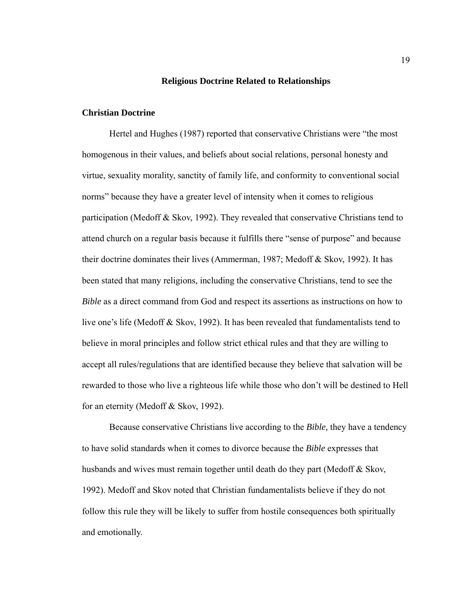#### **Religious Doctrine Related to Relationships**

#### **Christian Doctrine**

Hertel and Hughes (1987) reported that conservative Christians were "the most homogenous in their values, and beliefs about social relations, personal honesty and virtue, sexuality morality, sanctity of family life, and conformity to conventional social norms" because they have a greater level of intensity when it comes to religious participation (Medoff & Skov, 1992). They revealed that conservative Christians tend to attend church on a regular basis because it fulfills there "sense of purpose" and because their doctrine dominates their lives (Ammerman, 1987; Medoff & Skov, 1992). It has been stated that many religions, including the conservative Christians, tend to see the *Bible* as a direct command from God and respect its assertions as instructions on how to live one's life (Medoff & Skov, 1992). It has been revealed that fundamentalists tend to believe in moral principles and follow strict ethical rules and that they are willing to accept all rules/regulations that are identified because they believe that salvation will be rewarded to those who live a righteous life while those who don't will be destined to Hell for an eternity (Medoff & Skov, 1992).

Because conservative Christians live according to the *Bible,* they have a tendency to have solid standards when it comes to divorce because the *Bible* expresses that husbands and wives must remain together until death do they part (Medoff & Skov, 1992). Medoff and Skov noted that Christian fundamentalists believe if they do not follow this rule they will be likely to suffer from hostile consequences both spiritually and emotionally.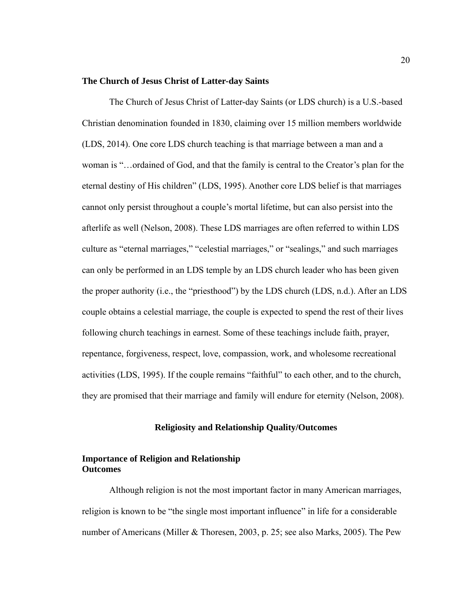#### **The Church of Jesus Christ of Latter-day Saints**

The Church of Jesus Christ of Latter-day Saints (or LDS church) is a U.S.-based Christian denomination founded in 1830, claiming over 15 million members worldwide (LDS, 2014). One core LDS church teaching is that marriage between a man and a woman is "…ordained of God, and that the family is central to the Creator's plan for the eternal destiny of His children" (LDS, 1995). Another core LDS belief is that marriages cannot only persist throughout a couple's mortal lifetime, but can also persist into the afterlife as well (Nelson, 2008). These LDS marriages are often referred to within LDS culture as "eternal marriages," "celestial marriages," or "sealings," and such marriages can only be performed in an LDS temple by an LDS church leader who has been given the proper authority (i.e., the "priesthood") by the LDS church (LDS, n.d.). After an LDS couple obtains a celestial marriage, the couple is expected to spend the rest of their lives following church teachings in earnest. Some of these teachings include faith, prayer, repentance, forgiveness, respect, love, compassion, work, and wholesome recreational activities (LDS, 1995). If the couple remains "faithful" to each other, and to the church, they are promised that their marriage and family will endure for eternity (Nelson, 2008).

#### **Religiosity and Relationship Quality/Outcomes**

#### **Importance of Religion and Relationship Outcomes**

Although religion is not the most important factor in many American marriages, religion is known to be "the single most important influence" in life for a considerable number of Americans (Miller & Thoresen, 2003, p. 25; see also Marks, 2005). The Pew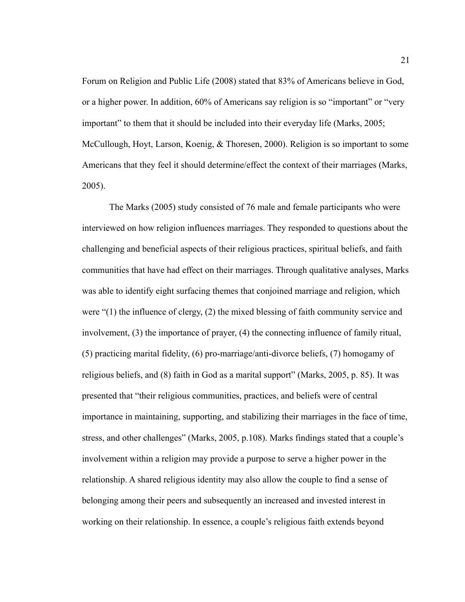Forum on Religion and Public Life (2008) stated that 83% of Americans believe in God, or a higher power. In addition, 60% of Americans say religion is so "important" or "very important" to them that it should be included into their everyday life (Marks, 2005; McCullough, Hoyt, Larson, Koenig, & Thoresen, 2000). Religion is so important to some Americans that they feel it should determine/effect the context of their marriages (Marks, 2005).

The Marks (2005) study consisted of 76 male and female participants who were interviewed on how religion influences marriages. They responded to questions about the challenging and beneficial aspects of their religious practices, spiritual beliefs, and faith communities that have had effect on their marriages. Through qualitative analyses, Marks was able to identify eight surfacing themes that conjoined marriage and religion, which were "(1) the influence of clergy, (2) the mixed blessing of faith community service and involvement, (3) the importance of prayer, (4) the connecting influence of family ritual, (5) practicing marital fidelity, (6) pro-marriage/anti-divorce beliefs, (7) homogamy of religious beliefs, and (8) faith in God as a marital support" (Marks, 2005, p. 85). It was presented that "their religious communities, practices, and beliefs were of central importance in maintaining, supporting, and stabilizing their marriages in the face of time, stress, and other challenges" (Marks, 2005, p.108). Marks findings stated that a couple's involvement within a religion may provide a purpose to serve a higher power in the relationship. A shared religious identity may also allow the couple to find a sense of belonging among their peers and subsequently an increased and invested interest in working on their relationship. In essence, a couple's religious faith extends beyond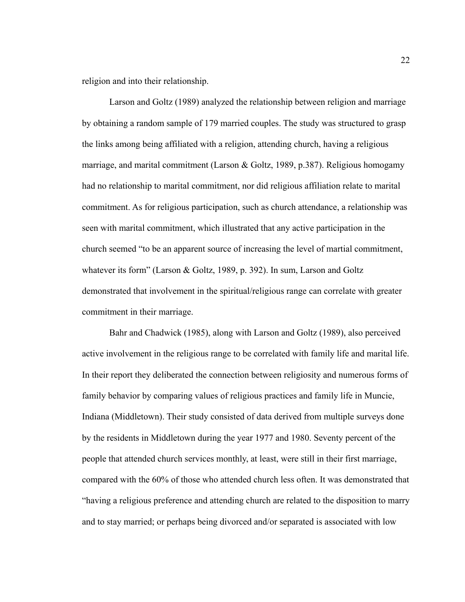religion and into their relationship.

Larson and Goltz (1989) analyzed the relationship between religion and marriage by obtaining a random sample of 179 married couples. The study was structured to grasp the links among being affiliated with a religion, attending church, having a religious marriage, and marital commitment (Larson & Goltz, 1989, p.387). Religious homogamy had no relationship to marital commitment, nor did religious affiliation relate to marital commitment. As for religious participation, such as church attendance, a relationship was seen with marital commitment, which illustrated that any active participation in the church seemed "to be an apparent source of increasing the level of martial commitment, whatever its form" (Larson & Goltz, 1989, p. 392). In sum, Larson and Goltz demonstrated that involvement in the spiritual/religious range can correlate with greater commitment in their marriage.

Bahr and Chadwick (1985), along with Larson and Goltz (1989), also perceived active involvement in the religious range to be correlated with family life and marital life. In their report they deliberated the connection between religiosity and numerous forms of family behavior by comparing values of religious practices and family life in Muncie, Indiana (Middletown). Their study consisted of data derived from multiple surveys done by the residents in Middletown during the year 1977 and 1980. Seventy percent of the people that attended church services monthly, at least, were still in their first marriage, compared with the 60% of those who attended church less often. It was demonstrated that "having a religious preference and attending church are related to the disposition to marry and to stay married; or perhaps being divorced and/or separated is associated with low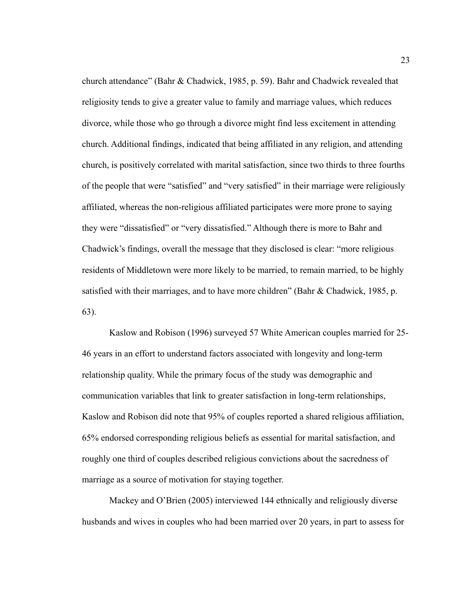church attendance" (Bahr & Chadwick, 1985, p. 59). Bahr and Chadwick revealed that religiosity tends to give a greater value to family and marriage values, which reduces divorce, while those who go through a divorce might find less excitement in attending church. Additional findings, indicated that being affiliated in any religion, and attending church, is positively correlated with marital satisfaction, since two thirds to three fourths of the people that were "satisfied" and "very satisfied" in their marriage were religiously affiliated, whereas the non-religious affiliated participates were more prone to saying they were "dissatisfied" or "very dissatisfied." Although there is more to Bahr and Chadwick's findings, overall the message that they disclosed is clear: "more religious residents of Middletown were more likely to be married, to remain married, to be highly satisfied with their marriages, and to have more children" (Bahr & Chadwick, 1985, p. 63).

Kaslow and Robison (1996) surveyed 57 White American couples married for 25- 46 years in an effort to understand factors associated with longevity and long-term relationship quality. While the primary focus of the study was demographic and communication variables that link to greater satisfaction in long-term relationships, Kaslow and Robison did note that 95% of couples reported a shared religious affiliation, 65% endorsed corresponding religious beliefs as essential for marital satisfaction, and roughly one third of couples described religious convictions about the sacredness of marriage as a source of motivation for staying together.

Mackey and O'Brien (2005) interviewed 144 ethnically and religiously diverse husbands and wives in couples who had been married over 20 years, in part to assess for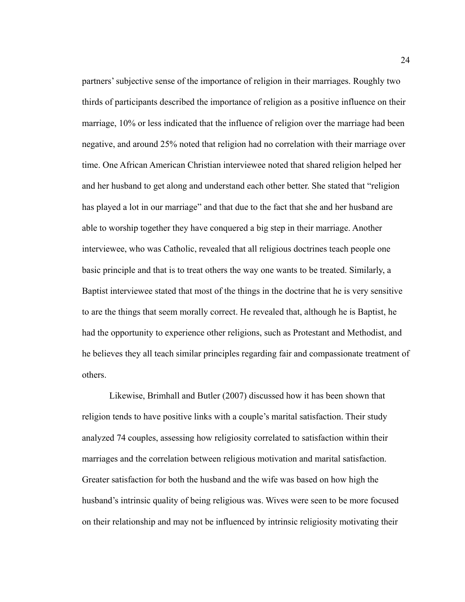partners' subjective sense of the importance of religion in their marriages. Roughly two thirds of participants described the importance of religion as a positive influence on their marriage, 10% or less indicated that the influence of religion over the marriage had been negative, and around 25% noted that religion had no correlation with their marriage over time. One African American Christian interviewee noted that shared religion helped her and her husband to get along and understand each other better. She stated that "religion has played a lot in our marriage" and that due to the fact that she and her husband are able to worship together they have conquered a big step in their marriage. Another interviewee, who was Catholic, revealed that all religious doctrines teach people one basic principle and that is to treat others the way one wants to be treated. Similarly, a Baptist interviewee stated that most of the things in the doctrine that he is very sensitive to are the things that seem morally correct. He revealed that, although he is Baptist, he had the opportunity to experience other religions, such as Protestant and Methodist, and he believes they all teach similar principles regarding fair and compassionate treatment of others.

Likewise, Brimhall and Butler (2007) discussed how it has been shown that religion tends to have positive links with a couple's marital satisfaction. Their study analyzed 74 couples, assessing how religiosity correlated to satisfaction within their marriages and the correlation between religious motivation and marital satisfaction. Greater satisfaction for both the husband and the wife was based on how high the husband's intrinsic quality of being religious was. Wives were seen to be more focused on their relationship and may not be influenced by intrinsic religiosity motivating their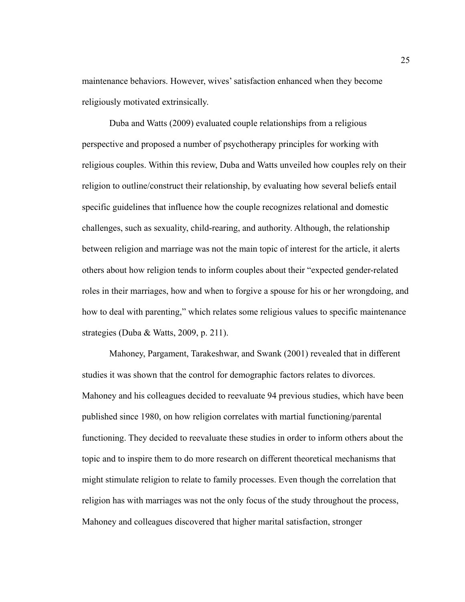maintenance behaviors. However, wives' satisfaction enhanced when they become religiously motivated extrinsically.

Duba and Watts (2009) evaluated couple relationships from a religious perspective and proposed a number of psychotherapy principles for working with religious couples. Within this review, Duba and Watts unveiled how couples rely on their religion to outline/construct their relationship, by evaluating how several beliefs entail specific guidelines that influence how the couple recognizes relational and domestic challenges, such as sexuality, child-rearing, and authority. Although, the relationship between religion and marriage was not the main topic of interest for the article, it alerts others about how religion tends to inform couples about their "expected gender-related roles in their marriages, how and when to forgive a spouse for his or her wrongdoing, and how to deal with parenting," which relates some religious values to specific maintenance strategies (Duba & Watts, 2009, p. 211).

Mahoney, Pargament, Tarakeshwar, and Swank (2001) revealed that in different studies it was shown that the control for demographic factors relates to divorces. Mahoney and his colleagues decided to reevaluate 94 previous studies, which have been published since 1980, on how religion correlates with martial functioning/parental functioning. They decided to reevaluate these studies in order to inform others about the topic and to inspire them to do more research on different theoretical mechanisms that might stimulate religion to relate to family processes. Even though the correlation that religion has with marriages was not the only focus of the study throughout the process, Mahoney and colleagues discovered that higher marital satisfaction, stronger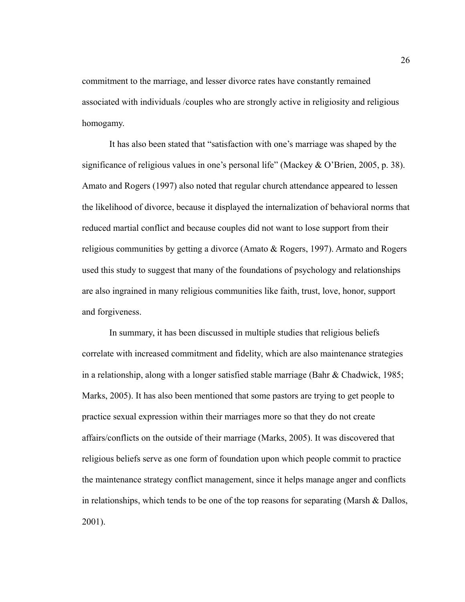commitment to the marriage, and lesser divorce rates have constantly remained associated with individuals /couples who are strongly active in religiosity and religious homogamy.

It has also been stated that "satisfaction with one's marriage was shaped by the significance of religious values in one's personal life" (Mackey & O'Brien, 2005, p. 38). Amato and Rogers (1997) also noted that regular church attendance appeared to lessen the likelihood of divorce, because it displayed the internalization of behavioral norms that reduced martial conflict and because couples did not want to lose support from their religious communities by getting a divorce (Amato & Rogers, 1997). Armato and Rogers used this study to suggest that many of the foundations of psychology and relationships are also ingrained in many religious communities like faith, trust, love, honor, support and forgiveness.

In summary, it has been discussed in multiple studies that religious beliefs correlate with increased commitment and fidelity, which are also maintenance strategies in a relationship, along with a longer satisfied stable marriage (Bahr & Chadwick, 1985; Marks, 2005). It has also been mentioned that some pastors are trying to get people to practice sexual expression within their marriages more so that they do not create affairs/conflicts on the outside of their marriage (Marks, 2005). It was discovered that religious beliefs serve as one form of foundation upon which people commit to practice the maintenance strategy conflict management, since it helps manage anger and conflicts in relationships, which tends to be one of the top reasons for separating (Marsh  $\&$  Dallos, 2001).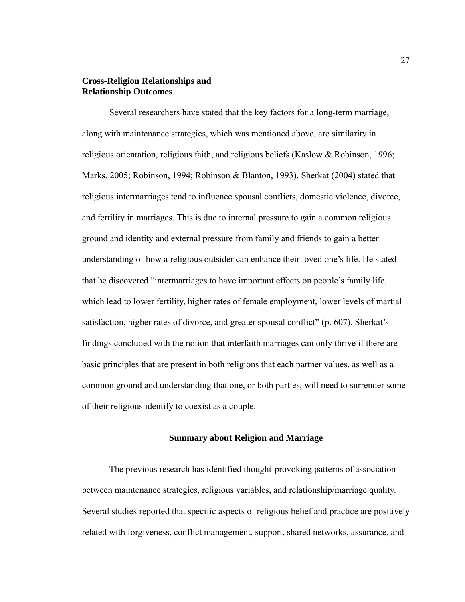# **Cross-Religion Relationships and Relationship Outcomes**

Several researchers have stated that the key factors for a long-term marriage, along with maintenance strategies, which was mentioned above, are similarity in religious orientation, religious faith, and religious beliefs (Kaslow & Robinson, 1996; Marks, 2005; Robinson, 1994; Robinson & Blanton, 1993). Sherkat (2004) stated that religious intermarriages tend to influence spousal conflicts, domestic violence, divorce, and fertility in marriages. This is due to internal pressure to gain a common religious ground and identity and external pressure from family and friends to gain a better understanding of how a religious outsider can enhance their loved one's life. He stated that he discovered "intermarriages to have important effects on people's family life, which lead to lower fertility, higher rates of female employment, lower levels of martial satisfaction, higher rates of divorce, and greater spousal conflict" (p. 607). Sherkat's findings concluded with the notion that interfaith marriages can only thrive if there are basic principles that are present in both religions that each partner values, as well as a common ground and understanding that one, or both parties, will need to surrender some of their religious identify to coexist as a couple.

#### **Summary about Religion and Marriage**

The previous research has identified thought-provoking patterns of association between maintenance strategies, religious variables, and relationship/marriage quality. Several studies reported that specific aspects of religious belief and practice are positively related with forgiveness, conflict management, support, shared networks, assurance, and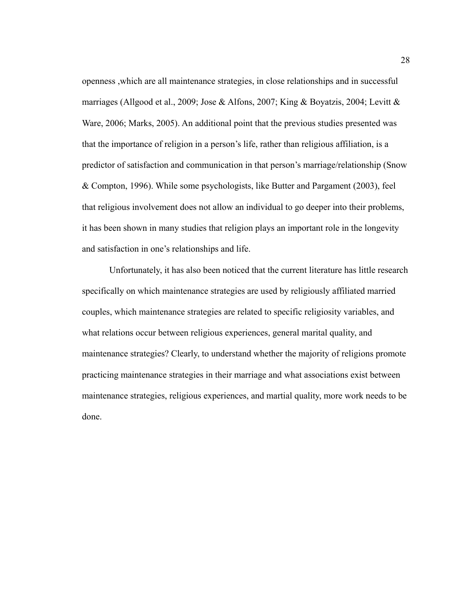openness ,which are all maintenance strategies, in close relationships and in successful marriages (Allgood et al., 2009; Jose & Alfons, 2007; King & Boyatzis, 2004; Levitt & Ware, 2006; Marks, 2005). An additional point that the previous studies presented was that the importance of religion in a person's life, rather than religious affiliation, is a predictor of satisfaction and communication in that person's marriage/relationship (Snow & Compton, 1996). While some psychologists, like Butter and Pargament (2003), feel that religious involvement does not allow an individual to go deeper into their problems, it has been shown in many studies that religion plays an important role in the longevity and satisfaction in one's relationships and life.

Unfortunately, it has also been noticed that the current literature has little research specifically on which maintenance strategies are used by religiously affiliated married couples, which maintenance strategies are related to specific religiosity variables, and what relations occur between religious experiences, general marital quality, and maintenance strategies? Clearly, to understand whether the majority of religions promote practicing maintenance strategies in their marriage and what associations exist between maintenance strategies, religious experiences, and martial quality, more work needs to be done.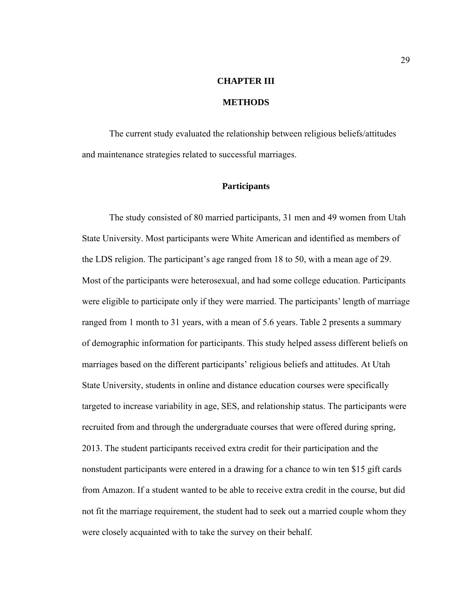# **CHAPTER III**

## **METHODS**

 The current study evaluated the relationship between religious beliefs/attitudes and maintenance strategies related to successful marriages.

#### **Participants**

The study consisted of 80 married participants, 31 men and 49 women from Utah State University. Most participants were White American and identified as members of the LDS religion. The participant's age ranged from 18 to 50, with a mean age of 29. Most of the participants were heterosexual, and had some college education. Participants were eligible to participate only if they were married. The participants' length of marriage ranged from 1 month to 31 years, with a mean of 5.6 years. Table 2 presents a summary of demographic information for participants. This study helped assess different beliefs on marriages based on the different participants' religious beliefs and attitudes. At Utah State University, students in online and distance education courses were specifically targeted to increase variability in age, SES, and relationship status. The participants were recruited from and through the undergraduate courses that were offered during spring, 2013. The student participants received extra credit for their participation and the nonstudent participants were entered in a drawing for a chance to win ten \$15 gift cards from Amazon. If a student wanted to be able to receive extra credit in the course, but did not fit the marriage requirement, the student had to seek out a married couple whom they were closely acquainted with to take the survey on their behalf.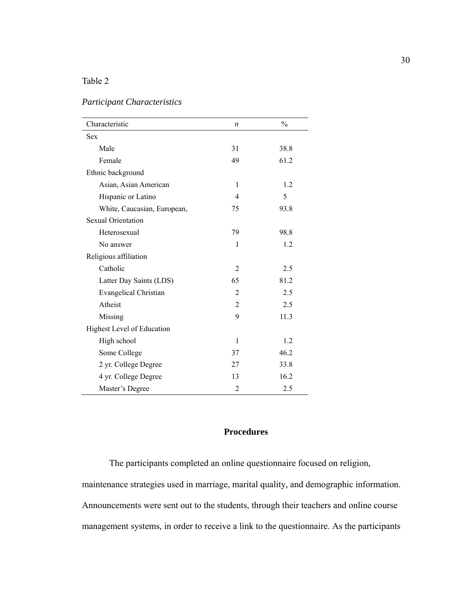| Characteristic               | n              | $\frac{0}{0}$ |
|------------------------------|----------------|---------------|
| <b>Sex</b>                   |                |               |
| Male                         | 31             | 38.8          |
| Female                       | 49             | 61.2          |
| Ethnic background            |                |               |
| Asian, Asian American        | 1              | 1.2           |
| Hispanic or Latino           | 4              | 5             |
| White, Caucasian, European,  | 75             | 93.8          |
| <b>Sexual Orientation</b>    |                |               |
| Heterosexual                 | 79             | 98.8          |
| No answer                    | 1              | 1.2           |
| Religious affiliation        |                |               |
| Catholic                     | 2              | 2.5           |
| Latter Day Saints (LDS)      | 65             | 81.2          |
| <b>Evangelical Christian</b> | $\overline{2}$ | 2.5           |
| Atheist                      | $\overline{2}$ | 2.5           |
| Missing                      | 9              | 11.3          |
| Highest Level of Education   |                |               |
| High school                  | 1              | 1.2           |
| Some College                 | 37             | 46.2          |
| 2 yr. College Degree         | 27             | 33.8          |
| 4 yr. College Degree         | 13             | 16.2          |
| Master's Degree              | 2              | 2.5           |

# *Participant Characteristics*

## **Procedures**

The participants completed an online questionnaire focused on religion, maintenance strategies used in marriage, marital quality, and demographic information. Announcements were sent out to the students, through their teachers and online course management systems, in order to receive a link to the questionnaire. As the participants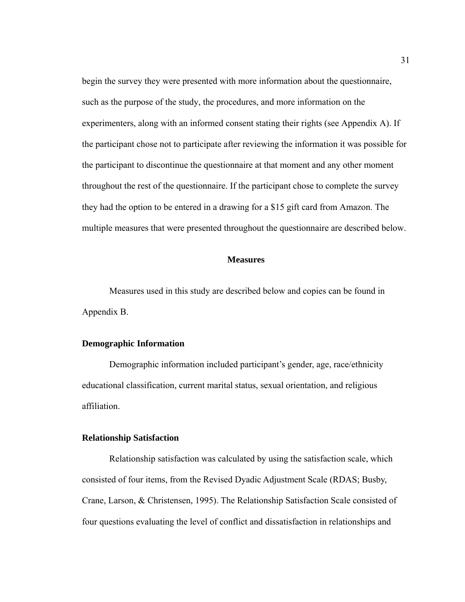begin the survey they were presented with more information about the questionnaire, such as the purpose of the study, the procedures, and more information on the experimenters, along with an informed consent stating their rights (see Appendix A). If the participant chose not to participate after reviewing the information it was possible for the participant to discontinue the questionnaire at that moment and any other moment throughout the rest of the questionnaire. If the participant chose to complete the survey they had the option to be entered in a drawing for a \$15 gift card from Amazon. The multiple measures that were presented throughout the questionnaire are described below.

#### **Measures**

 Measures used in this study are described below and copies can be found in Appendix B.

#### **Demographic Information**

Demographic information included participant's gender, age, race/ethnicity educational classification, current marital status, sexual orientation, and religious affiliation.

#### **Relationship Satisfaction**

Relationship satisfaction was calculated by using the satisfaction scale, which consisted of four items, from the Revised Dyadic Adjustment Scale (RDAS; Busby, Crane, Larson, & Christensen, 1995). The Relationship Satisfaction Scale consisted of four questions evaluating the level of conflict and dissatisfaction in relationships and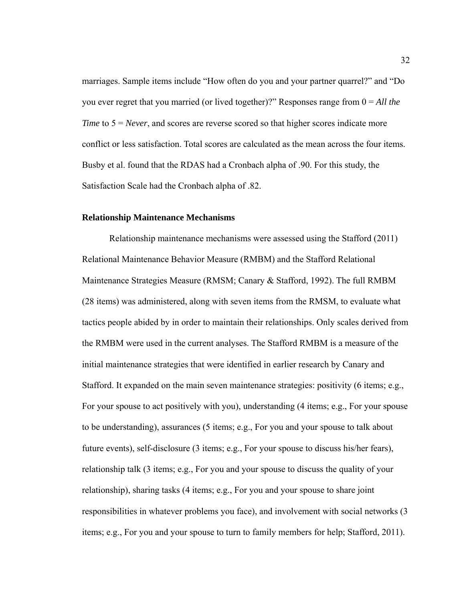marriages. Sample items include "How often do you and your partner quarrel?" and "Do you ever regret that you married (or lived together)?" Responses range from 0 = *All the Time* to  $5 = Never$ , and scores are reverse scored so that higher scores indicate more conflict or less satisfaction. Total scores are calculated as the mean across the four items. Busby et al. found that the RDAS had a Cronbach alpha of .90. For this study, the Satisfaction Scale had the Cronbach alpha of .82.

#### **Relationship Maintenance Mechanisms**

Relationship maintenance mechanisms were assessed using the Stafford (2011) Relational Maintenance Behavior Measure (RMBM) and the Stafford Relational Maintenance Strategies Measure (RMSM; Canary & Stafford, 1992). The full RMBM (28 items) was administered, along with seven items from the RMSM, to evaluate what tactics people abided by in order to maintain their relationships. Only scales derived from the RMBM were used in the current analyses. The Stafford RMBM is a measure of the initial maintenance strategies that were identified in earlier research by Canary and Stafford. It expanded on the main seven maintenance strategies: positivity (6 items; e.g., For your spouse to act positively with you), understanding (4 items; e.g., For your spouse to be understanding), assurances (5 items; e.g., For you and your spouse to talk about future events), self-disclosure (3 items; e.g., For your spouse to discuss his/her fears), relationship talk (3 items; e.g., For you and your spouse to discuss the quality of your relationship), sharing tasks (4 items; e.g., For you and your spouse to share joint responsibilities in whatever problems you face), and involvement with social networks (3 items; e.g., For you and your spouse to turn to family members for help; Stafford, 2011).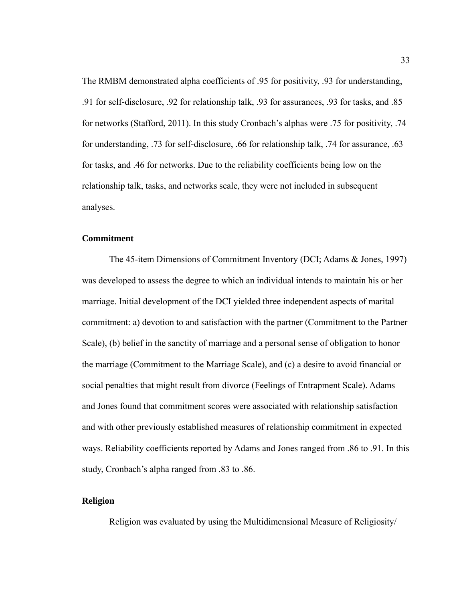The RMBM demonstrated alpha coefficients of .95 for positivity, .93 for understanding, .91 for self-disclosure, .92 for relationship talk, .93 for assurances, .93 for tasks, and .85 for networks (Stafford, 2011). In this study Cronbach's alphas were .75 for positivity, .74 for understanding, .73 for self-disclosure, .66 for relationship talk, .74 for assurance, .63 for tasks, and .46 for networks. Due to the reliability coefficients being low on the relationship talk, tasks, and networks scale, they were not included in subsequent analyses.

#### **Commitment**

The 45-item Dimensions of Commitment Inventory (DCI; Adams & Jones, 1997) was developed to assess the degree to which an individual intends to maintain his or her marriage. Initial development of the DCI yielded three independent aspects of marital commitment: a) devotion to and satisfaction with the partner (Commitment to the Partner Scale), (b) belief in the sanctity of marriage and a personal sense of obligation to honor the marriage (Commitment to the Marriage Scale), and (c) a desire to avoid financial or social penalties that might result from divorce (Feelings of Entrapment Scale). Adams and Jones found that commitment scores were associated with relationship satisfaction and with other previously established measures of relationship commitment in expected ways. Reliability coefficients reported by Adams and Jones ranged from .86 to .91. In this study, Cronbach's alpha ranged from .83 to .86.

#### **Religion**

Religion was evaluated by using the Multidimensional Measure of Religiosity/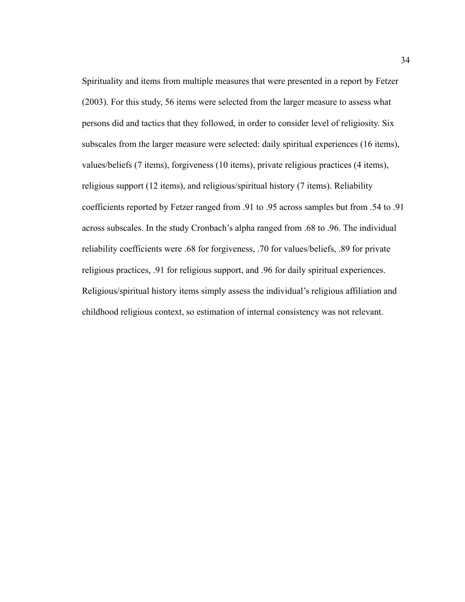Spirituality and items from multiple measures that were presented in a report by Fetzer (2003). For this study, 56 items were selected from the larger measure to assess what persons did and tactics that they followed, in order to consider level of religiosity. Six subscales from the larger measure were selected: daily spiritual experiences (16 items), values/beliefs (7 items), forgiveness (10 items), private religious practices (4 items), religious support (12 items), and religious/spiritual history (7 items). Reliability coefficients reported by Fetzer ranged from .91 to .95 across samples but from .54 to .91 across subscales. In the study Cronbach's alpha ranged from .68 to .96. The individual reliability coefficients were .68 for forgiveness, .70 for values/beliefs, .89 for private religious practices, .91 for religious support, and .96 for daily spiritual experiences. Religious/spiritual history items simply assess the individual's religious affiliation and childhood religious context, so estimation of internal consistency was not relevant.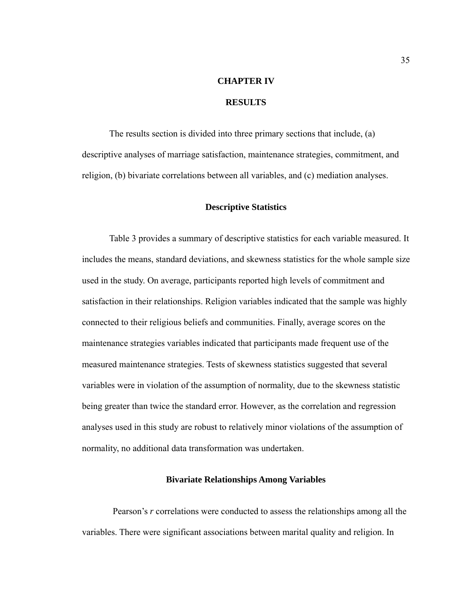# **CHAPTER IV RESULTS**

The results section is divided into three primary sections that include, (a) descriptive analyses of marriage satisfaction, maintenance strategies, commitment, and religion, (b) bivariate correlations between all variables, and (c) mediation analyses.

#### **Descriptive Statistics**

Table 3 provides a summary of descriptive statistics for each variable measured. It includes the means, standard deviations, and skewness statistics for the whole sample size used in the study. On average, participants reported high levels of commitment and satisfaction in their relationships. Religion variables indicated that the sample was highly connected to their religious beliefs and communities. Finally, average scores on the maintenance strategies variables indicated that participants made frequent use of the measured maintenance strategies. Tests of skewness statistics suggested that several variables were in violation of the assumption of normality, due to the skewness statistic being greater than twice the standard error. However, as the correlation and regression analyses used in this study are robust to relatively minor violations of the assumption of normality, no additional data transformation was undertaken.

#### **Bivariate Relationships Among Variables**

 Pearson's *r* correlations were conducted to assess the relationships among all the variables. There were significant associations between marital quality and religion. In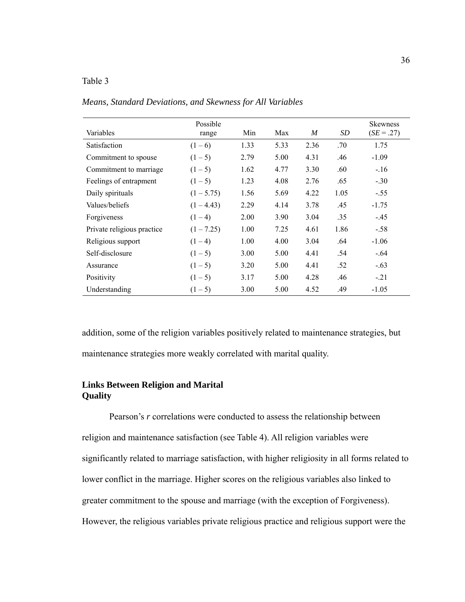| Variables                  | Possible<br>range | Min  | Max  | M    | SD   | Skewness<br>$(SE = .27)$ |
|----------------------------|-------------------|------|------|------|------|--------------------------|
| Satisfaction               | $(1-6)$           | 1.33 | 5.33 | 2.36 | .70  | 1.75                     |
| Commitment to spouse       | $(1-5)$           | 2.79 | 5.00 | 4.31 | .46  | $-1.09$                  |
| Commitment to marriage     | $(1-5)$           | 1.62 | 4.77 | 3.30 | .60  | $-16$                    |
| Feelings of entrapment     | $(1-5)$           | 1.23 | 4.08 | 2.76 | .65  | $-.30$                   |
| Daily spirituals           | $(1 - 5.75)$      | 1.56 | 5.69 | 4.22 | 1.05 | $-.55$                   |
| Values/beliefs             | $(1 - 4.43)$      | 2.29 | 4.14 | 3.78 | .45  | $-1.75$                  |
| Forgiveness                | $(1-4)$           | 2.00 | 3.90 | 3.04 | .35  | $-.45$                   |
| Private religious practice | $(1 - 7.25)$      | 1.00 | 7.25 | 4.61 | 1.86 | $-.58$                   |
| Religious support          | $(1-4)$           | 1.00 | 4.00 | 3.04 | .64  | $-1.06$                  |
| Self-disclosure            | $(1-5)$           | 3.00 | 5.00 | 4.41 | .54  | $-.64$                   |
| Assurance                  | $(1-5)$           | 3.20 | 5.00 | 4.41 | .52  | $-.63$                   |
| <b>Positivity</b>          | $(1-5)$           | 3.17 | 5.00 | 4.28 | .46  | $-21$                    |
| Understanding              | $(1-5)$           | 3.00 | 5.00 | 4.52 | .49  | $-1.05$                  |

*Means, Standard Deviations, and Skewness for All Variables* 

addition, some of the religion variables positively related to maintenance strategies, but maintenance strategies more weakly correlated with marital quality.

#### **Links Between Religion and Marital Quality**

Pearson's *r* correlations were conducted to assess the relationship between religion and maintenance satisfaction (see Table 4). All religion variables were significantly related to marriage satisfaction, with higher religiosity in all forms related to lower conflict in the marriage. Higher scores on the religious variables also linked to greater commitment to the spouse and marriage (with the exception of Forgiveness). However, the religious variables private religious practice and religious support were the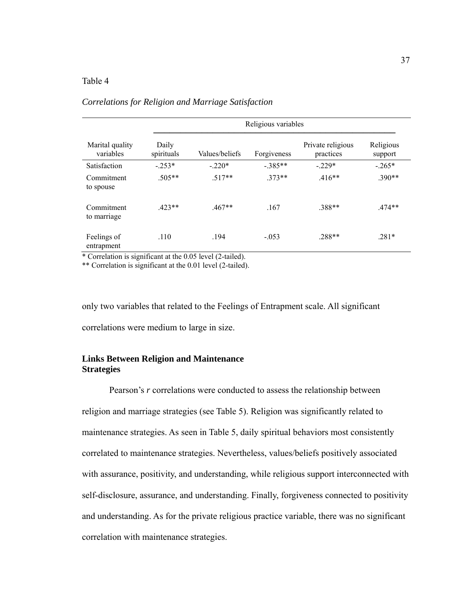|                              | Religious variables |                |             |                                |                      |  |  |  |
|------------------------------|---------------------|----------------|-------------|--------------------------------|----------------------|--|--|--|
| Marital quality<br>variables | Daily<br>spirituals | Values/beliefs | Forgiveness | Private religious<br>practices | Religious<br>support |  |  |  |
| Satisfaction                 | $-253*$             | $-220*$        | $-.385**$   | $-229*$                        | $-0.265*$            |  |  |  |
| Commitment<br>to spouse      | $.505**$            | $.517**$       | $373**$     | $.416**$                       | $.390**$             |  |  |  |
| Commitment<br>to marriage    | $423**$             | $.467**$       | .167        | .388**                         | $.474**$             |  |  |  |
| Feelings of<br>entrapment    | .110                | .194           | $-.053$     | .288**                         | $.281*$              |  |  |  |

## *Correlations for Religion and Marriage Satisfaction*

\* Correlation is significant at the 0.05 level (2-tailed).

\*\* Correlation is significant at the 0.01 level (2-tailed).

only two variables that related to the Feelings of Entrapment scale. All significant correlations were medium to large in size.

#### **Links Between Religion and Maintenance Strategies**

Pearson's *r* correlations were conducted to assess the relationship between religion and marriage strategies (see Table 5). Religion was significantly related to maintenance strategies. As seen in Table 5, daily spiritual behaviors most consistently correlated to maintenance strategies. Nevertheless, values/beliefs positively associated with assurance, positivity, and understanding, while religious support interconnected with self-disclosure, assurance, and understanding. Finally, forgiveness connected to positivity and understanding. As for the private religious practice variable, there was no significant correlation with maintenance strategies.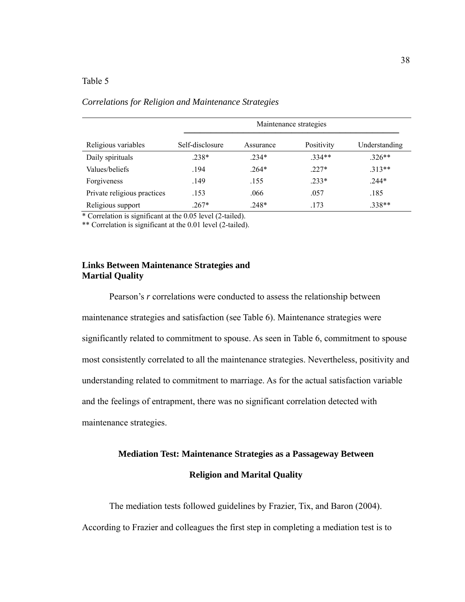|                             | Maintenance strategies |           |            |               |  |  |  |  |
|-----------------------------|------------------------|-----------|------------|---------------|--|--|--|--|
| Religious variables         | Self-disclosure        | Assurance | Positivity | Understanding |  |  |  |  |
| Daily spirituals            | $.238*$                | $.234*$   | $334**$    | $.326**$      |  |  |  |  |
| Values/beliefs              | .194                   | $.264*$   | $.227*$    | $.313**$      |  |  |  |  |
| Forgiveness                 | .149                   | .155      | $.233*$    | $.244*$       |  |  |  |  |
| Private religious practices | .153                   | .066      | .057       | .185          |  |  |  |  |
| Religious support           | $.267*$                | $.248*$   | .173       | $.338**$      |  |  |  |  |

#### *Correlations for Religion and Maintenance Strategies*

\* Correlation is significant at the 0.05 level (2-tailed).

\*\* Correlation is significant at the 0.01 level (2-tailed).

#### **Links Between Maintenance Strategies and Martial Quality**

Pearson's *r* correlations were conducted to assess the relationship between maintenance strategies and satisfaction (see Table 6). Maintenance strategies were significantly related to commitment to spouse. As seen in Table 6, commitment to spouse most consistently correlated to all the maintenance strategies. Nevertheless, positivity and understanding related to commitment to marriage. As for the actual satisfaction variable and the feelings of entrapment, there was no significant correlation detected with maintenance strategies.

# **Mediation Test: Maintenance Strategies as a Passageway Between Religion and Marital Quality**

 The mediation tests followed guidelines by Frazier, Tix, and Baron (2004). According to Frazier and colleagues the first step in completing a mediation test is to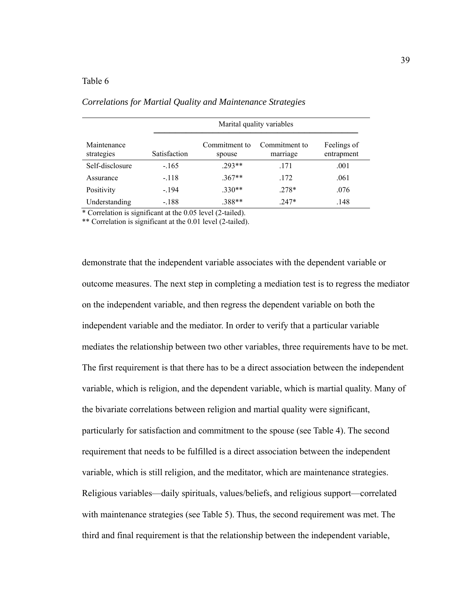|                           | Marital quality variables |                         |                           |                           |  |  |  |
|---------------------------|---------------------------|-------------------------|---------------------------|---------------------------|--|--|--|
| Maintenance<br>strategies | <b>Satisfaction</b>       | Commitment to<br>spouse | Commitment to<br>marriage | Feelings of<br>entrapment |  |  |  |
| Self-disclosure           | $-165$                    | $293**$                 | .171                      | .001                      |  |  |  |
| Assurance                 | $-.118$                   | $.367**$                | .172                      | .061                      |  |  |  |
| Positivity                | $-.194$                   | $.330**$                | $.278*$                   | .076                      |  |  |  |
| Understanding             | $-.188$                   | .388**                  | $.247*$                   | .148                      |  |  |  |

*Correlations for Martial Quality and Maintenance Strategies* 

\* Correlation is significant at the 0.05 level (2-tailed).

\*\* Correlation is significant at the 0.01 level (2-tailed).

demonstrate that the independent variable associates with the dependent variable or outcome measures. The next step in completing a mediation test is to regress the mediator on the independent variable, and then regress the dependent variable on both the independent variable and the mediator. In order to verify that a particular variable mediates the relationship between two other variables, three requirements have to be met. The first requirement is that there has to be a direct association between the independent variable, which is religion, and the dependent variable, which is martial quality. Many of the bivariate correlations between religion and martial quality were significant, particularly for satisfaction and commitment to the spouse (see Table 4). The second requirement that needs to be fulfilled is a direct association between the independent variable, which is still religion, and the meditator, which are maintenance strategies. Religious variables—daily spirituals, values/beliefs, and religious support—correlated with maintenance strategies (see Table 5). Thus, the second requirement was met. The third and final requirement is that the relationship between the independent variable,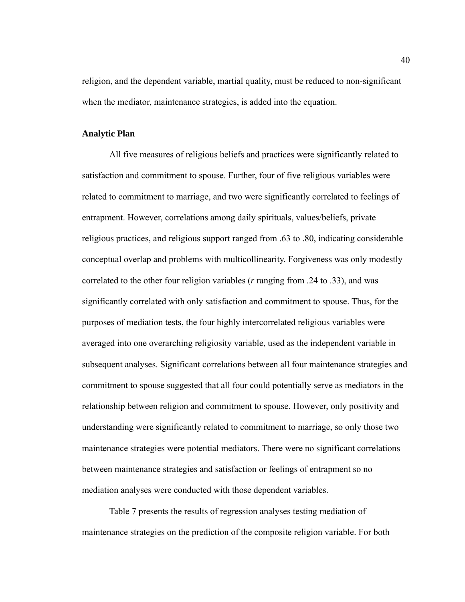religion, and the dependent variable, martial quality, must be reduced to non-significant when the mediator, maintenance strategies, is added into the equation.

#### **Analytic Plan**

All five measures of religious beliefs and practices were significantly related to satisfaction and commitment to spouse. Further, four of five religious variables were related to commitment to marriage, and two were significantly correlated to feelings of entrapment. However, correlations among daily spirituals, values/beliefs, private religious practices, and religious support ranged from .63 to .80, indicating considerable conceptual overlap and problems with multicollinearity. Forgiveness was only modestly correlated to the other four religion variables (*r* ranging from .24 to .33), and was significantly correlated with only satisfaction and commitment to spouse. Thus, for the purposes of mediation tests, the four highly intercorrelated religious variables were averaged into one overarching religiosity variable, used as the independent variable in subsequent analyses. Significant correlations between all four maintenance strategies and commitment to spouse suggested that all four could potentially serve as mediators in the relationship between religion and commitment to spouse. However, only positivity and understanding were significantly related to commitment to marriage, so only those two maintenance strategies were potential mediators. There were no significant correlations between maintenance strategies and satisfaction or feelings of entrapment so no mediation analyses were conducted with those dependent variables.

 Table 7 presents the results of regression analyses testing mediation of maintenance strategies on the prediction of the composite religion variable. For both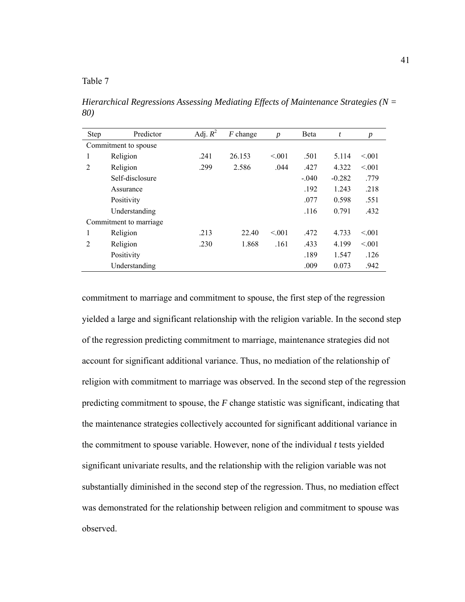*Hierarchical Regressions Assessing Mediating Effects of Maintenance Strategies (N = 80)* 

| <b>Step</b>          | Predictor               | Adj. $R^2$ | $F$ change | $\boldsymbol{p}$ | <b>B</b> eta | t        | $\boldsymbol{p}$ |
|----------------------|-------------------------|------------|------------|------------------|--------------|----------|------------------|
| Commitment to spouse |                         |            |            |                  |              |          |                  |
| 1                    | Religion                | .241       | 26.153     | < 0.01           | .501         | 5.114    | < 0.01           |
| 2                    | Religion                | .299       | 2.586      | .044             | .427         | 4.322    | < 0.01           |
|                      | Self-disclosure         |            |            |                  | $-.040$      | $-0.282$ | .779             |
|                      | Assurance               |            |            |                  | .192         | 1.243    | .218             |
|                      | Positivity              |            |            |                  | .077         | 0.598    | .551             |
|                      | Understanding           |            |            |                  | .116         | 0.791    | .432             |
|                      | Commitment to marriage. |            |            |                  |              |          |                  |
| 1                    | Religion                | .213       | 22.40      | < 0.01           | .472         | 4.733    | < 0.01           |
| $\overline{2}$       | Religion                | .230       | 1.868      | .161             | .433         | 4.199    | < 0.01           |
|                      | Positivity              |            |            |                  | .189         | 1.547    | .126             |
|                      | Understanding           |            |            |                  | .009         | 0.073    | .942             |

commitment to marriage and commitment to spouse, the first step of the regression yielded a large and significant relationship with the religion variable. In the second step of the regression predicting commitment to marriage, maintenance strategies did not account for significant additional variance. Thus, no mediation of the relationship of religion with commitment to marriage was observed. In the second step of the regression predicting commitment to spouse, the *F* change statistic was significant, indicating that the maintenance strategies collectively accounted for significant additional variance in the commitment to spouse variable. However, none of the individual *t* tests yielded significant univariate results, and the relationship with the religion variable was not substantially diminished in the second step of the regression. Thus, no mediation effect was demonstrated for the relationship between religion and commitment to spouse was observed.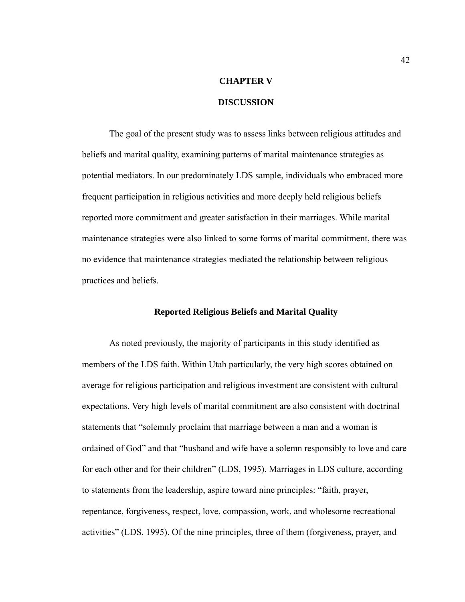# **CHAPTER V DISCUSSION**

# The goal of the present study was to assess links between religious attitudes and

beliefs and marital quality, examining patterns of marital maintenance strategies as potential mediators. In our predominately LDS sample, individuals who embraced more frequent participation in religious activities and more deeply held religious beliefs reported more commitment and greater satisfaction in their marriages. While marital maintenance strategies were also linked to some forms of marital commitment, there was no evidence that maintenance strategies mediated the relationship between religious practices and beliefs.

#### **Reported Religious Beliefs and Marital Quality**

As noted previously, the majority of participants in this study identified as members of the LDS faith. Within Utah particularly, the very high scores obtained on average for religious participation and religious investment are consistent with cultural expectations. Very high levels of marital commitment are also consistent with doctrinal statements that "solemnly proclaim that marriage between a man and a woman is ordained of God" and that "husband and wife have a solemn responsibly to love and care for each other and for their children" (LDS, 1995). Marriages in LDS culture, according to statements from the leadership, aspire toward nine principles: "faith, prayer, repentance, forgiveness, respect, love, compassion, work, and wholesome recreational activities" (LDS, 1995). Of the nine principles, three of them (forgiveness, prayer, and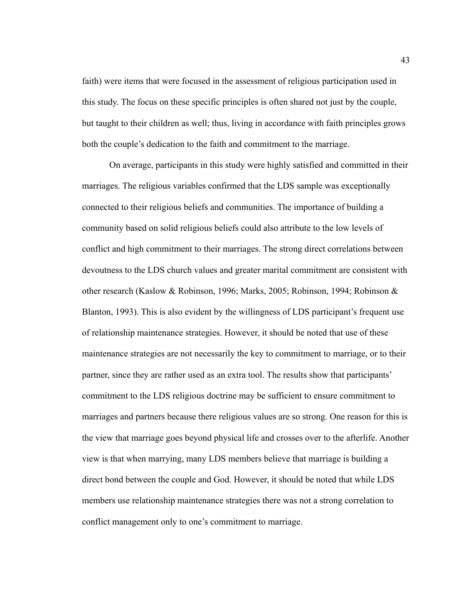faith) were items that were focused in the assessment of religious participation used in this study. The focus on these specific principles is often shared not just by the couple, but taught to their children as well; thus, living in accordance with faith principles grows both the couple's dedication to the faith and commitment to the marriage.

On average, participants in this study were highly satisfied and committed in their marriages. The religious variables confirmed that the LDS sample was exceptionally connected to their religious beliefs and communities. The importance of building a community based on solid religious beliefs could also attribute to the low levels of conflict and high commitment to their marriages. The strong direct correlations between devoutness to the LDS church values and greater marital commitment are consistent with other research (Kaslow & Robinson, 1996; Marks, 2005; Robinson, 1994; Robinson & Blanton, 1993). This is also evident by the willingness of LDS participant's frequent use of relationship maintenance strategies. However, it should be noted that use of these maintenance strategies are not necessarily the key to commitment to marriage, or to their partner, since they are rather used as an extra tool. The results show that participants' commitment to the LDS religious doctrine may be sufficient to ensure commitment to marriages and partners because there religious values are so strong. One reason for this is the view that marriage goes beyond physical life and crosses over to the afterlife. Another view is that when marrying, many LDS members believe that marriage is building a direct bond between the couple and God. However, it should be noted that while LDS members use relationship maintenance strategies there was not a strong correlation to conflict management only to one's commitment to marriage.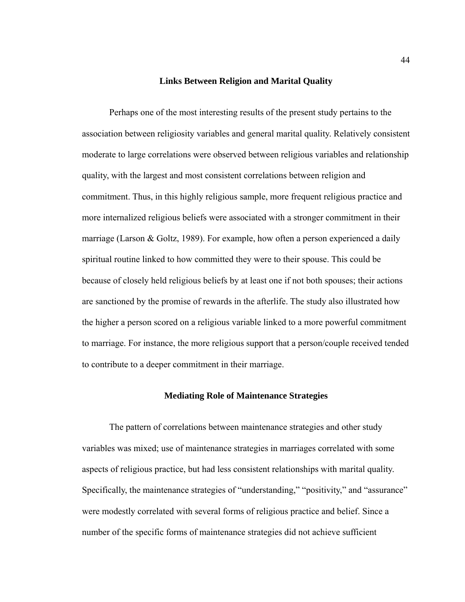#### **Links Between Religion and Marital Quality**

Perhaps one of the most interesting results of the present study pertains to the association between religiosity variables and general marital quality. Relatively consistent moderate to large correlations were observed between religious variables and relationship quality, with the largest and most consistent correlations between religion and commitment. Thus, in this highly religious sample, more frequent religious practice and more internalized religious beliefs were associated with a stronger commitment in their marriage (Larson & Goltz, 1989). For example, how often a person experienced a daily spiritual routine linked to how committed they were to their spouse. This could be because of closely held religious beliefs by at least one if not both spouses; their actions are sanctioned by the promise of rewards in the afterlife. The study also illustrated how the higher a person scored on a religious variable linked to a more powerful commitment to marriage. For instance, the more religious support that a person/couple received tended to contribute to a deeper commitment in their marriage.

#### **Mediating Role of Maintenance Strategies**

The pattern of correlations between maintenance strategies and other study variables was mixed; use of maintenance strategies in marriages correlated with some aspects of religious practice, but had less consistent relationships with marital quality. Specifically, the maintenance strategies of "understanding," "positivity," and "assurance" were modestly correlated with several forms of religious practice and belief. Since a number of the specific forms of maintenance strategies did not achieve sufficient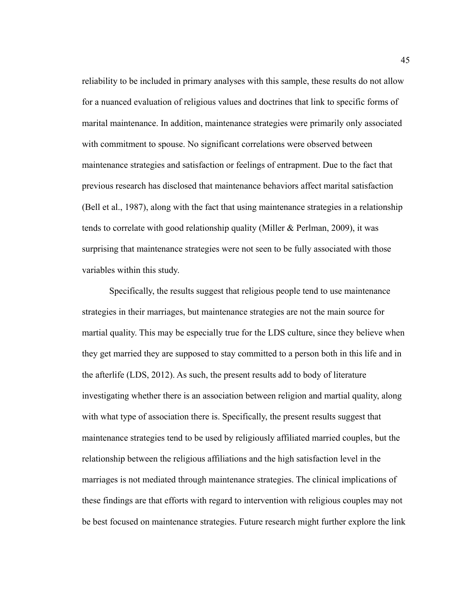reliability to be included in primary analyses with this sample, these results do not allow for a nuanced evaluation of religious values and doctrines that link to specific forms of marital maintenance. In addition, maintenance strategies were primarily only associated with commitment to spouse. No significant correlations were observed between maintenance strategies and satisfaction or feelings of entrapment. Due to the fact that previous research has disclosed that maintenance behaviors affect marital satisfaction (Bell et al., 1987), along with the fact that using maintenance strategies in a relationship tends to correlate with good relationship quality (Miller & Perlman, 2009), it was surprising that maintenance strategies were not seen to be fully associated with those variables within this study.

Specifically, the results suggest that religious people tend to use maintenance strategies in their marriages, but maintenance strategies are not the main source for martial quality. This may be especially true for the LDS culture, since they believe when they get married they are supposed to stay committed to a person both in this life and in the afterlife (LDS, 2012). As such, the present results add to body of literature investigating whether there is an association between religion and martial quality, along with what type of association there is. Specifically, the present results suggest that maintenance strategies tend to be used by religiously affiliated married couples, but the relationship between the religious affiliations and the high satisfaction level in the marriages is not mediated through maintenance strategies. The clinical implications of these findings are that efforts with regard to intervention with religious couples may not be best focused on maintenance strategies. Future research might further explore the link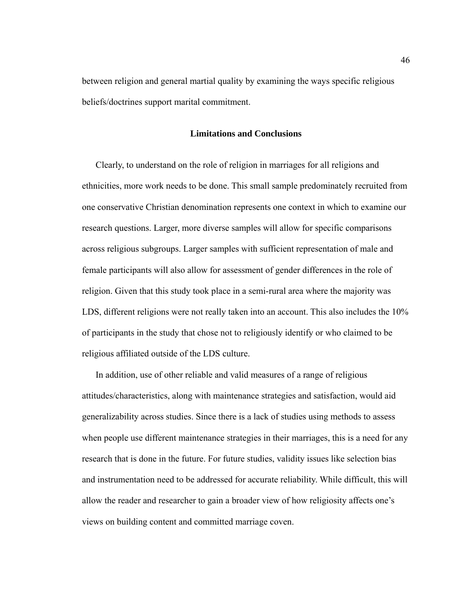between religion and general martial quality by examining the ways specific religious beliefs/doctrines support marital commitment.

#### **Limitations and Conclusions**

Clearly, to understand on the role of religion in marriages for all religions and ethnicities, more work needs to be done. This small sample predominately recruited from one conservative Christian denomination represents one context in which to examine our research questions. Larger, more diverse samples will allow for specific comparisons across religious subgroups. Larger samples with sufficient representation of male and female participants will also allow for assessment of gender differences in the role of religion. Given that this study took place in a semi-rural area where the majority was LDS, different religions were not really taken into an account. This also includes the 10% of participants in the study that chose not to religiously identify or who claimed to be religious affiliated outside of the LDS culture.

In addition, use of other reliable and valid measures of a range of religious attitudes/characteristics, along with maintenance strategies and satisfaction, would aid generalizability across studies. Since there is a lack of studies using methods to assess when people use different maintenance strategies in their marriages, this is a need for any research that is done in the future. For future studies, validity issues like selection bias and instrumentation need to be addressed for accurate reliability. While difficult, this will allow the reader and researcher to gain a broader view of how religiosity affects one's views on building content and committed marriage coven.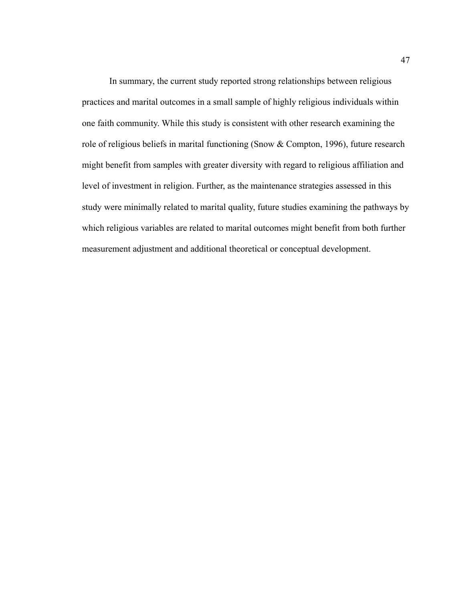In summary, the current study reported strong relationships between religious practices and marital outcomes in a small sample of highly religious individuals within one faith community. While this study is consistent with other research examining the role of religious beliefs in marital functioning (Snow & Compton, 1996), future research might benefit from samples with greater diversity with regard to religious affiliation and level of investment in religion. Further, as the maintenance strategies assessed in this study were minimally related to marital quality, future studies examining the pathways by which religious variables are related to marital outcomes might benefit from both further measurement adjustment and additional theoretical or conceptual development.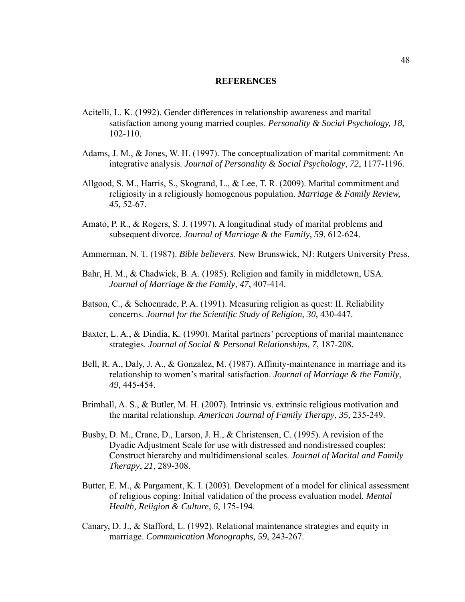#### **REFERENCES**

- Acitelli, L. K. (1992). Gender differences in relationship awareness and marital satisfaction among young married couples. *Personality & Social Psychology, 18*, 102-110.
- Adams, J. M., & Jones, W. H. (1997). The conceptualization of marital commitment: An integrative analysis. *Journal of Personality & Social Psychology*, *72*, 1177-1196.
- Allgood, S. M., Harris, S., Skogrand, L., & Lee, T. R. (2009). Marital commitment and religiosity in a religiously homogenous population. *Marriage & Family Review, 45*, 52-67.
- Amato, P. R., & Rogers, S. J. (1997). A longitudinal study of marital problems and subsequent divorce. *Journal of Marriage & the Family*, *59*, 612-624.
- Ammerman, N. T. (1987). *Bible believers*. New Brunswick, NJ: Rutgers University Press.
- Bahr, H. M., & Chadwick, B. A. (1985). Religion and family in middletown, USA. *Journal of Marriage & the Family*, *47*, 407-414.
- Batson, C., & Schoenrade, P. A. (1991). Measuring religion as quest: II. Reliability concerns. *Journal for the Scientific Study of Religion*, *30*, 430-447.
- Baxter, L. A., & Dindia, K. (1990). Marital partners' perceptions of marital maintenance strategies. *Journal of Social & Personal Relationships*, *7*, 187-208.
- Bell, R. A., Daly, J. A., & Gonzalez, M. (1987). Affinity-maintenance in marriage and its relationship to women's marital satisfaction. *Journal of Marriage & the Family*, *49*, 445-454.
- Brimhall, A. S., & Butler, M. H. (2007). Intrinsic vs. extrinsic religious motivation and the marital relationship. *American Journal of Family Therapy*, *35*, 235-249.
- Busby, D. M., Crane, D., Larson, J. H., & Christensen, C. (1995). A revision of the Dyadic Adjustment Scale for use with distressed and nondistressed couples: Construct hierarchy and multidimensional scales. *Journal of Marital and Family Therapy*, *21*, 289-308.
- Butter, E. M., & Pargament, K. I. (2003). Development of a model for clinical assessment of religious coping: Initial validation of the process evaluation model. *Mental Health, Religion & Culture*, *6*, 175-194.
- Canary, D. J., & Stafford, L. (1992). Relational maintenance strategies and equity in marriage. *Communication Monographs, 59*, 243-267.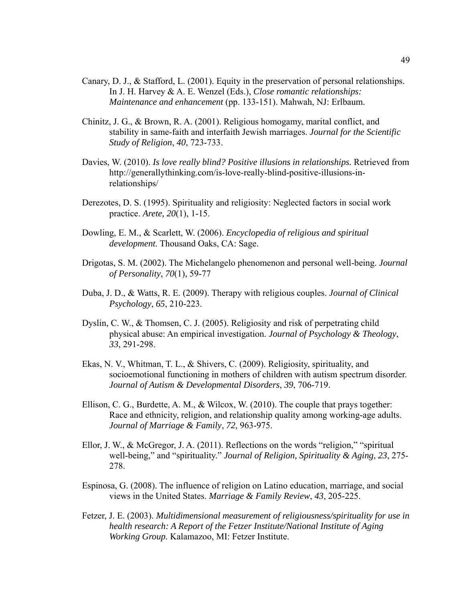- Canary, D. J., & Stafford, L. (2001). Equity in the preservation of personal relationships. In J. H. Harvey & A. E. Wenzel (Eds.), *Close romantic relationships: Maintenance and enhancement* (pp. 133-151). Mahwah, NJ: Erlbaum.
- Chinitz, J. G., & Brown, R. A. (2001). Religious homogamy, marital conflict, and stability in same-faith and interfaith Jewish marriages. *Journal for the Scientific Study of Religion*, *40*, 723-733.
- Davies, W. (2010). *Is love really blind? Positive illusions in relationships*. Retrieved from http://generallythinking.com/is-love-really-blind-positive-illusions-inrelationships/
- Derezotes, D. S. (1995). Spirituality and religiosity: Neglected factors in social work practice. *Arete, 20*(1), 1-15.
- Dowling, E. M., & Scarlett, W. (2006). *Encyclopedia of religious and spiritual development*. Thousand Oaks, CA: Sage.
- Drigotas, S. M. (2002). The Michelangelo phenomenon and personal well-being. *Journal of Personality*, *70*(1), 59-77
- Duba, J. D., & Watts, R. E. (2009). Therapy with religious couples. *Journal of Clinical Psychology*, *65*, 210-223.
- Dyslin, C. W., & Thomsen, C. J. (2005). Religiosity and risk of perpetrating child physical abuse: An empirical investigation. *Journal of Psychology & Theology*, *33*, 291-298.
- Ekas, N. V., Whitman, T. L., & Shivers, C. (2009). Religiosity, spirituality, and socioemotional functioning in mothers of children with autism spectrum disorder. *Journal of Autism & Developmental Disorders*, *39*, 706-719.
- Ellison, C. G., Burdette, A. M., & Wilcox, W. (2010). The couple that prays together: Race and ethnicity, religion, and relationship quality among working-age adults. *Journal of Marriage & Family*, *72*, 963-975.
- Ellor, J. W., & McGregor, J. A. (2011). Reflections on the words "religion," "spiritual well-being," and "spirituality." *Journal of Religion, Spirituality & Aging*, *23*, 275- 278.
- Espinosa, G. (2008). The influence of religion on Latino education, marriage, and social views in the United States. *Marriage & Family Review*, *43*, 205-225.
- Fetzer, J. E. (2003). *Multidimensional measurement of religiousness/spirituality for use in health research: A Report of the Fetzer Institute/National Institute of Aging Working Group.* Kalamazoo, MI: Fetzer Institute.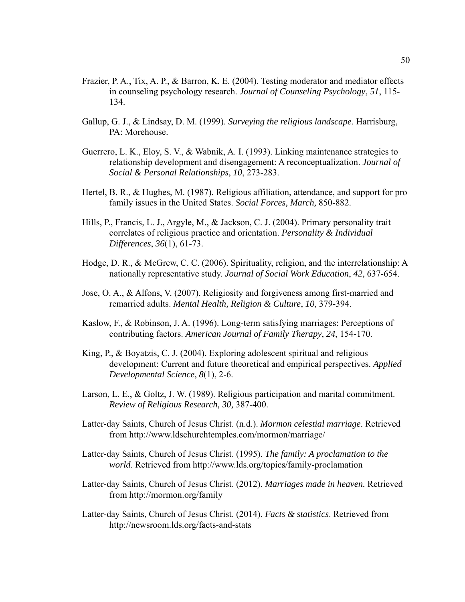- Frazier, P. A., Tix, A. P., & Barron, K. E. (2004). Testing moderator and mediator effects in counseling psychology research. *Journal of Counseling Psychology*, *51*, 115- 134.
- Gallup, G. J., & Lindsay, D. M. (1999). *Surveying the religious landscape*. Harrisburg, PA: Morehouse.
- Guerrero, L. K., Eloy, S. V., & Wabnik, A. I. (1993). Linking maintenance strategies to relationship development and disengagement: A reconceptualization. *Journal of Social & Personal Relationships*, *10*, 273-283.
- Hertel, B. R., & Hughes, M. (1987). Religious affiliation, attendance, and support for pro family issues in the United States. *Social Forces, March,* 850-882.
- Hills, P., Francis, L. J., Argyle, M., & Jackson, C. J. (2004). Primary personality trait correlates of religious practice and orientation. *Personality & Individual Differences*, *36*(1), 61-73.
- Hodge, D. R., & McGrew, C. C. (2006). Spirituality, religion, and the interrelationship: A nationally representative study. *Journal of Social Work Education*, *42*, 637-654.
- Jose, O. A., & Alfons, V. (2007). Religiosity and forgiveness among first-married and remarried adults. *Mental Health, Religion & Culture*, *10*, 379-394.
- Kaslow, F., & Robinson, J. A. (1996). Long-term satisfying marriages: Perceptions of contributing factors. *American Journal of Family Therapy*, *24*, 154-170.
- King, P., & Boyatzis, C. J. (2004). Exploring adolescent spiritual and religious development: Current and future theoretical and empirical perspectives. *Applied Developmental Science*, *8*(1), 2-6.
- Larson, L. E., & Goltz, J. W. (1989). Religious participation and marital commitment. *Review of Religious Research, 30,* 387-400.
- Latter-day Saints, Church of Jesus Christ. (n.d.). *Mormon celestial marriage*. Retrieved from http://www.ldschurchtemples.com/mormon/marriage/
- Latter-day Saints, Church of Jesus Christ. (1995). *The family: A proclamation to the world*. Retrieved from http://www.lds.org/topics/family-proclamation
- Latter-day Saints, Church of Jesus Christ. (2012). *Marriages made in heaven.* Retrieved from http://mormon.org/family
- Latter-day Saints, Church of Jesus Christ. (2014). *Facts & statistics*. Retrieved from http://newsroom.lds.org/facts-and-stats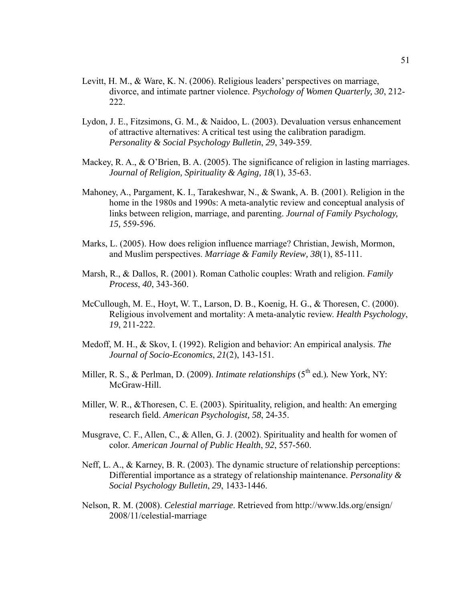- Levitt, H. M., & Ware, K. N. (2006). Religious leaders' perspectives on marriage, divorce, and intimate partner violence. *Psychology of Women Quarterly, 30*, 212- 222.
- Lydon, J. E., Fitzsimons, G. M., & Naidoo, L. (2003). Devaluation versus enhancement of attractive alternatives: A critical test using the calibration paradigm. *Personality & Social Psychology Bulletin*, *29*, 349-359.
- Mackey, R. A.,  $\&$  O'Brien, B. A. (2005). The significance of religion in lasting marriages. *Journal of Religion, Spirituality & Aging, 18*(1), 35-63.
- Mahoney, A., Pargament, K. I., Tarakeshwar, N., & Swank, A. B. (2001). Religion in the home in the 1980s and 1990s: A meta-analytic review and conceptual analysis of links between religion, marriage, and parenting. *Journal of Family Psychology, 15,* 559-596.
- Marks, L. (2005). How does religion influence marriage? Christian, Jewish, Mormon, and Muslim perspectives. *Marriage & Family Review, 38*(1), 85-111.
- Marsh, R., & Dallos, R. (2001). Roman Catholic couples: Wrath and religion. *Family Process*, *40*, 343-360.
- McCullough, M. E., Hoyt, W. T., Larson, D. B., Koenig, H. G., & Thoresen, C. (2000). Religious involvement and mortality: A meta-analytic review. *Health Psychology*, *19*, 211-222.
- Medoff, M. H., & Skov, I. (1992). Religion and behavior: An empirical analysis. *The Journal of Socio-Economics*, *21*(2), 143-151.
- Miller, R. S., & Perlman, D. (2009). *Intimate relationships* (5<sup>th</sup> ed.). New York, NY: McGraw-Hill.
- Miller, W. R., &Thoresen, C. E. (2003). Spirituality, religion, and health: An emerging research field. *American Psychologist, 58*, 24-35.
- Musgrave, C. F., Allen, C., & Allen, G. J. (2002). Spirituality and health for women of color. *American Journal of Public Health*, *92*, 557-560.
- Neff, L. A., & Karney, B. R. (2003). The dynamic structure of relationship perceptions: Differential importance as a strategy of relationship maintenance. *Personality & Social Psychology Bulletin*, *29*, 1433-1446.
- Nelson, R. M. (2008). *Celestial marriage*. Retrieved from http://www.lds.org/ensign/ 2008/11/celestial-marriage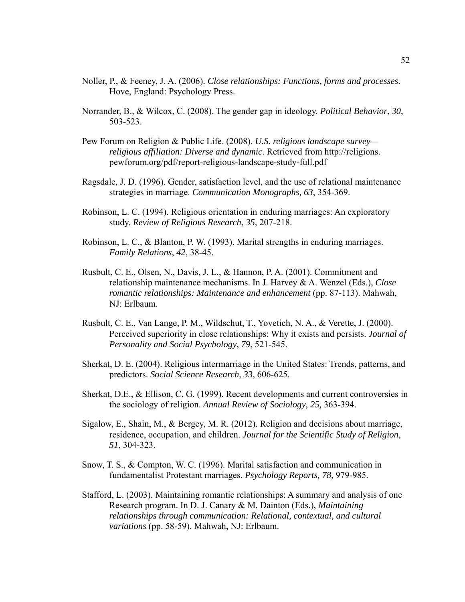- Noller, P., & Feeney, J. A. (2006). *Close relationships: Functions, forms and processes*. Hove, England: Psychology Press.
- Norrander, B., & Wilcox, C. (2008). The gender gap in ideology. *Political Behavior*, *30*, 503-523.
- Pew Forum on Religion & Public Life. (2008). *U.S. religious landscape survey religious affiliation: Diverse and dynamic*. Retrieved from http://religions. pewforum.org/pdf/report-religious-landscape-study-full.pdf
- Ragsdale, J. D. (1996). Gender, satisfaction level, and the use of relational maintenance strategies in marriage. *Communication Monographs, 63*, 354-369.
- Robinson, L. C. (1994). Religious orientation in enduring marriages: An exploratory study. *Review of Religious Research*, *35*, 207-218.
- Robinson, L. C., & Blanton, P. W. (1993). Marital strengths in enduring marriages. *Family Relations*, *42*, 38-45.
- Rusbult, C. E., Olsen, N., Davis, J. L., & Hannon, P. A. (2001). Commitment and relationship maintenance mechanisms. In J. Harvey & A. Wenzel (Eds.), *Close romantic relationships: Maintenance and enhancement* (pp. 87-113). Mahwah, NJ: Erlbaum.
- Rusbult, C. E., Van Lange, P. M., Wildschut, T., Yovetich, N. A., & Verette, J. (2000). Perceived superiority in close relationships: Why it exists and persists. *Journal of Personality and Social Psychology*, *79*, 521-545.
- Sherkat, D. E. (2004). Religious intermarriage in the United States: Trends, patterns, and predictors. *Social Science Research*, *33*, 606-625.
- Sherkat, D.E., & Ellison, C. G. (1999). Recent developments and current controversies in the sociology of religion. *Annual Review of Sociology, 25,* 363-394.
- Sigalow, E., Shain, M., & Bergey, M. R. (2012). Religion and decisions about marriage, residence, occupation, and children. *Journal for the Scientific Study of Religion*, *51*, 304-323.
- Snow, T. S., & Compton, W. C. (1996). Marital satisfaction and communication in fundamentalist Protestant marriages. *Psychology Reports, 78,* 979-985.
- Stafford, L. (2003). Maintaining romantic relationships: A summary and analysis of one Research program. In D. J. Canary & M. Dainton (Eds.), *Maintaining relationships through communication: Relational, contextual, and cultural variations* (pp. 58-59). Mahwah, NJ: Erlbaum.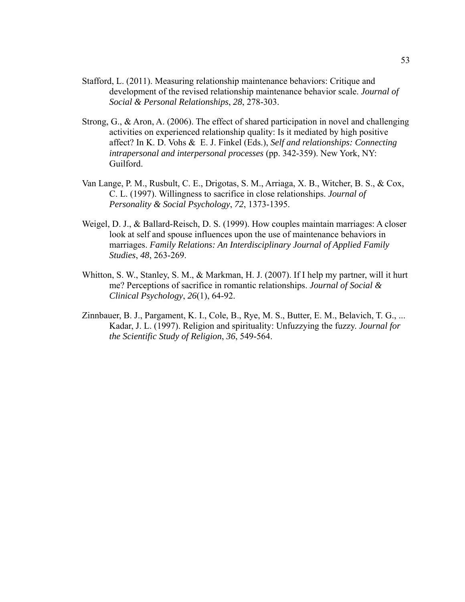- Stafford, L. (2011). Measuring relationship maintenance behaviors: Critique and development of the revised relationship maintenance behavior scale. *Journal of Social & Personal Relationships*, *28*, 278-303.
- Strong, G., & Aron, A. (2006). The effect of shared participation in novel and challenging activities on experienced relationship quality: Is it mediated by high positive affect? In K. D. Vohs & E. J. Finkel (Eds.), *Self and relationships: Connecting intrapersonal and interpersonal processes* (pp. 342-359). New York, NY: Guilford.
- Van Lange, P. M., Rusbult, C. E., Drigotas, S. M., Arriaga, X. B., Witcher, B. S., & Cox, C. L. (1997). Willingness to sacrifice in close relationships. *Journal of Personality & Social Psychology*, *72*, 1373-1395.
- Weigel, D. J., & Ballard-Reisch, D. S. (1999). How couples maintain marriages: A closer look at self and spouse influences upon the use of maintenance behaviors in marriages. *Family Relations: An Interdisciplinary Journal of Applied Family Studies*, *48*, 263-269.
- Whitton, S. W., Stanley, S. M., & Markman, H. J. (2007). If I help my partner, will it hurt me? Perceptions of sacrifice in romantic relationships. *Journal of Social & Clinical Psychology*, *26*(1), 64-92.
- Zinnbauer, B. J., Pargament, K. I., Cole, B., Rye, M. S., Butter, E. M., Belavich, T. G., ... Kadar, J. L. (1997). Religion and spirituality: Unfuzzying the fuzzy. *Journal for the Scientific Study of Religion*, *36*, 549-564.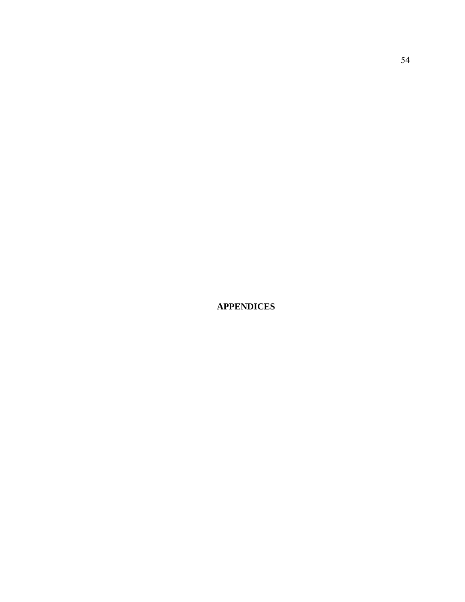**APPENDICES**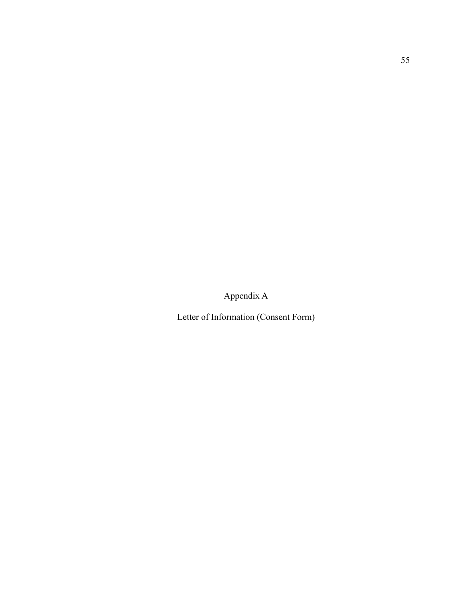Appendix A

Letter of Information (Consent Form)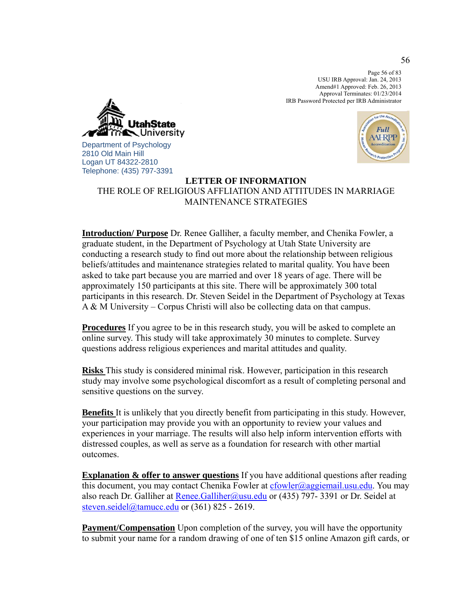Page 56 of 83 USU IRB Approval: Jan. 24, 2013 Amend#1 Approved: Feb. 26, 2013 Approval Terminates: 01/23/2014 IRB Password Protected per IRB Administrator



Department of Psychology 2810 Old Main Hill Logan UT 84322-2810 Telephone: (435) 797-3391



# **LETTER OF INFORMATION** THE ROLE OF RELIGIOUS AFFLIATION AND ATTITUDES IN MARRIAGE MAINTENANCE STRATEGIES

**Introduction/ Purpose** Dr. Renee Galliher, a faculty member, and Chenika Fowler, a graduate student, in the Department of Psychology at Utah State University are conducting a research study to find out more about the relationship between religious beliefs/attitudes and maintenance strategies related to marital quality. You have been asked to take part because you are married and over 18 years of age. There will be approximately 150 participants at this site. There will be approximately 300 total participants in this research. Dr. Steven Seidel in the Department of Psychology at Texas A & M University – Corpus Christi will also be collecting data on that campus.

**Procedures** If you agree to be in this research study, you will be asked to complete an online survey. This study will take approximately 30 minutes to complete. Survey questions address religious experiences and marital attitudes and quality.

**Risks** This study is considered minimal risk. However, participation in this research study may involve some psychological discomfort as a result of completing personal and sensitive questions on the survey.

**Benefits** It is unlikely that you directly benefit from participating in this study. However, your participation may provide you with an opportunity to review your values and experiences in your marriage. The results will also help inform intervention efforts with distressed couples, as well as serve as a foundation for research with other martial outcomes.

**Explanation & offer to answer questions** If you have additional questions after reading this document, you may contact Chenika Fowler at cfowler@aggiemail.usu.edu. You may also reach Dr. Galliher at Renee.Galliher@usu.edu or (435) 797-3391 or Dr. Seidel at steven.seidel@tamucc.edu or (361) 825 - 2619.

**Payment/Compensation** Upon completion of the survey, you will have the opportunity to submit your name for a random drawing of one of ten \$15 online Amazon gift cards, or

56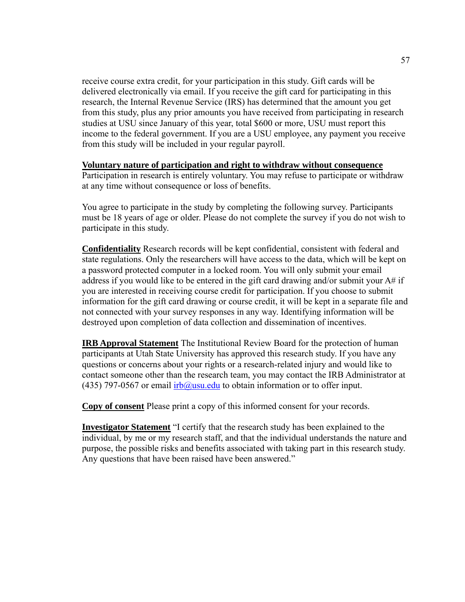receive course extra credit, for your participation in this study. Gift cards will be delivered electronically via email. If you receive the gift card for participating in this research, the Internal Revenue Service (IRS) has determined that the amount you get from this study, plus any prior amounts you have received from participating in research studies at USU since January of this year, total \$600 or more, USU must report this income to the federal government. If you are a USU employee, any payment you receive from this study will be included in your regular payroll.

#### **Voluntary nature of participation and right to withdraw without consequence**

Participation in research is entirely voluntary. You may refuse to participate or withdraw at any time without consequence or loss of benefits.

You agree to participate in the study by completing the following survey. Participants must be 18 years of age or older. Please do not complete the survey if you do not wish to participate in this study.

**Confidentiality** Research records will be kept confidential, consistent with federal and state regulations. Only the researchers will have access to the data, which will be kept on a password protected computer in a locked room. You will only submit your email address if you would like to be entered in the gift card drawing and/or submit your A# if you are interested in receiving course credit for participation. If you choose to submit information for the gift card drawing or course credit, it will be kept in a separate file and not connected with your survey responses in any way. Identifying information will be destroyed upon completion of data collection and dissemination of incentives.

**IRB Approval Statement** The Institutional Review Board for the protection of human participants at Utah State University has approved this research study. If you have any questions or concerns about your rights or a research-related injury and would like to contact someone other than the research team, you may contact the IRB Administrator at (435) 797-0567 or email  $irb@usu.edu$  to obtain information or to offer input.

**Copy of consent** Please print a copy of this informed consent for your records.

**Investigator Statement** "I certify that the research study has been explained to the individual, by me or my research staff, and that the individual understands the nature and purpose, the possible risks and benefits associated with taking part in this research study. Any questions that have been raised have been answered."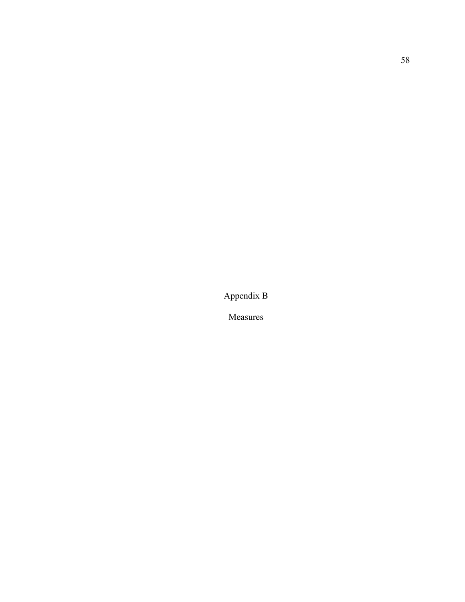Appendix B

Measures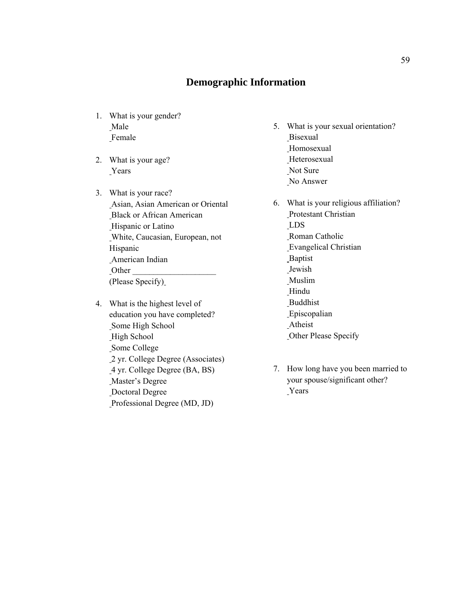# **Demographic Information**

- 1. What is your gender? Male Female
- 2. What is your age? **Years**
- 3. What is your race? Asian, Asian American or Oriental Black or African American Hispanic or Latino White, Caucasian, European, not Hispanic American Indian  $\Omega$  Other (Please Specify)
- 4. What is the highest level of education you have completed? Some High School High School Some College 2 yr. College Degree (Associates) 4 yr. College Degree (BA, BS) Master's Degree Doctoral Degree Professional Degree (MD, JD)
- 5. What is your sexual orientation? Bisexual Homosexual **Heterosexual**  Not Sure No Answer
- 6. What is your religious affiliation? Protestant Christian LDS Roman Catholic Evangelical Christian **Baptist**  Jewish Muslim Hindu Buddhist Episcopalian Atheist Other Please Specify
- 7. How long have you been married to your spouse/significant other? Years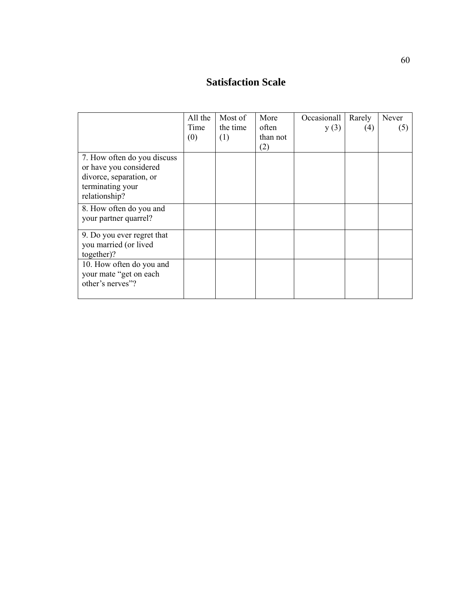# **Satisfaction Scale**

|                                                                                                                       | All the<br>Time<br>(0) | Most of<br>the time<br>(1) | More<br>often<br>than not | Occasionall<br>y(3) | Rarely<br>(4) | Never<br>(5) |
|-----------------------------------------------------------------------------------------------------------------------|------------------------|----------------------------|---------------------------|---------------------|---------------|--------------|
|                                                                                                                       |                        |                            | (2)                       |                     |               |              |
| 7. How often do you discuss<br>or have you considered<br>divorce, separation, or<br>terminating your<br>relationship? |                        |                            |                           |                     |               |              |
| 8. How often do you and<br>your partner quarrel?                                                                      |                        |                            |                           |                     |               |              |
| 9. Do you ever regret that<br>you married (or lived<br>together)?                                                     |                        |                            |                           |                     |               |              |
| 10. How often do you and<br>your mate "get on each<br>other's nerves"?                                                |                        |                            |                           |                     |               |              |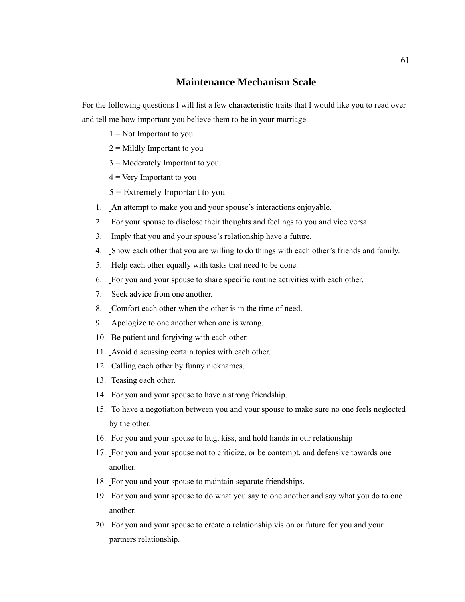## **Maintenance Mechanism Scale**

For the following questions I will list a few characteristic traits that I would like you to read over and tell me how important you believe them to be in your marriage.

- $1 = Not$  Important to you
- $2 =$  Mildly Important to you
- 3 = Moderately Important to you
- $4$  = Very Important to you
- 5 = Extremely Important to you
- 1. An attempt to make you and your spouse's interactions enjoyable.
- 2. For your spouse to disclose their thoughts and feelings to you and vice versa.
- 3. Imply that you and your spouse's relationship have a future.
- 4. Show each other that you are willing to do things with each other's friends and family.
- 5. Help each other equally with tasks that need to be done.
- 6. For you and your spouse to share specific routine activities with each other.
- 7. Seek advice from one another.
- 8. Comfort each other when the other is in the time of need.
- 9. Apologize to one another when one is wrong.
- 10. Be patient and forgiving with each other.
- 11. Avoid discussing certain topics with each other.
- 12. Calling each other by funny nicknames.
- 13. Teasing each other.
- 14. For you and your spouse to have a strong friendship.
- 15. To have a negotiation between you and your spouse to make sure no one feels neglected by the other.
- 16. For you and your spouse to hug, kiss, and hold hands in our relationship
- 17. For you and your spouse not to criticize, or be contempt, and defensive towards one another.
- 18. For you and your spouse to maintain separate friendships.
- 19. For you and your spouse to do what you say to one another and say what you do to one another.
- 20. For you and your spouse to create a relationship vision or future for you and your partners relationship.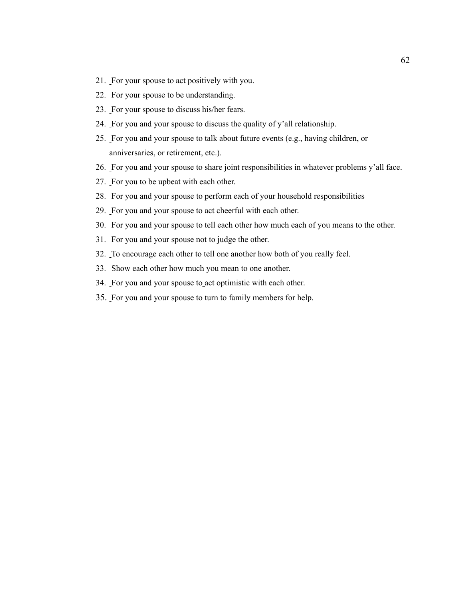- 21. For your spouse to act positively with you.
- 22. For your spouse to be understanding.
- 23. For your spouse to discuss his/her fears.
- 24. For you and your spouse to discuss the quality of y'all relationship.
- 25. For you and your spouse to talk about future events (e.g., having children, or anniversaries, or retirement, etc.).
- 26. For you and your spouse to share joint responsibilities in whatever problems y'all face.
- 27. For you to be upbeat with each other.
- 28. For you and your spouse to perform each of your household responsibilities
- 29. For you and your spouse to act cheerful with each other.
- 30. For you and your spouse to tell each other how much each of you means to the other.
- 31. For you and your spouse not to judge the other.
- 32. To encourage each other to tell one another how both of you really feel.
- 33. Show each other how much you mean to one another.
- 34. For you and your spouse to act optimistic with each other.
- 35. For you and your spouse to turn to family members for help.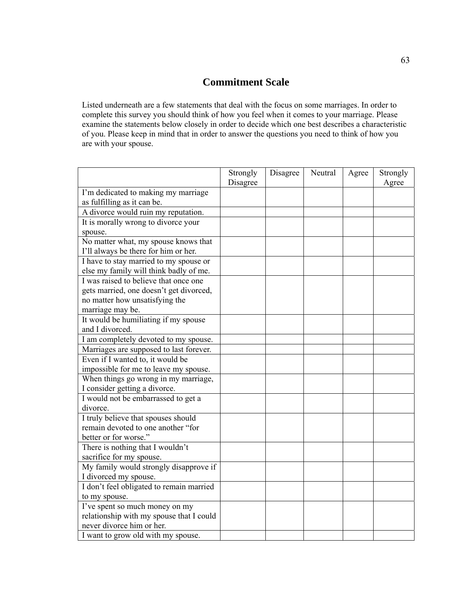# **Commitment Scale**

Listed underneath are a few statements that deal with the focus on some marriages. In order to complete this survey you should think of how you feel when it comes to your marriage. Please examine the statements below closely in order to decide which one best describes a characteristic of you. Please keep in mind that in order to answer the questions you need to think of how you are with your spouse.

|                                                 | Strongly<br>Disagree | Disagree | Neutral | Agree | Strongly<br>Agree |
|-------------------------------------------------|----------------------|----------|---------|-------|-------------------|
| I'm dedicated to making my marriage             |                      |          |         |       |                   |
| as fulfilling as it can be.                     |                      |          |         |       |                   |
| A divorce would ruin my reputation.             |                      |          |         |       |                   |
| It is morally wrong to divorce your             |                      |          |         |       |                   |
| spouse.                                         |                      |          |         |       |                   |
| No matter what, my spouse knows that            |                      |          |         |       |                   |
| I'll always be there for him or her.            |                      |          |         |       |                   |
| I have to stay married to my spouse or          |                      |          |         |       |                   |
| else my family will think badly of me.          |                      |          |         |       |                   |
| I was raised to believe that once one           |                      |          |         |       |                   |
| gets married, one doesn't get divorced,         |                      |          |         |       |                   |
| no matter how unsatisfying the                  |                      |          |         |       |                   |
| marriage may be.                                |                      |          |         |       |                   |
| It would be humiliating if my spouse            |                      |          |         |       |                   |
| and I divorced.                                 |                      |          |         |       |                   |
| I am completely devoted to my spouse.           |                      |          |         |       |                   |
| Marriages are supposed to last forever.         |                      |          |         |       |                   |
| Even if I wanted to, it would be                |                      |          |         |       |                   |
| impossible for me to leave my spouse.           |                      |          |         |       |                   |
| When things go wrong in my marriage,            |                      |          |         |       |                   |
| I consider getting a divorce.                   |                      |          |         |       |                   |
| I would not be embarrassed to get a             |                      |          |         |       |                   |
| divorce.                                        |                      |          |         |       |                   |
| I truly believe that spouses should             |                      |          |         |       |                   |
| remain devoted to one another "for              |                      |          |         |       |                   |
| better or for worse."                           |                      |          |         |       |                   |
| There is nothing that I wouldn't                |                      |          |         |       |                   |
| sacrifice for my spouse.                        |                      |          |         |       |                   |
| My family would strongly disapprove if          |                      |          |         |       |                   |
| I divorced my spouse.                           |                      |          |         |       |                   |
| I don't feel obligated to remain married        |                      |          |         |       |                   |
| to my spouse.<br>I've spent so much money on my |                      |          |         |       |                   |
| relationship with my spouse that I could        |                      |          |         |       |                   |
| never divorce him or her.                       |                      |          |         |       |                   |
|                                                 |                      |          |         |       |                   |
| I want to grow old with my spouse.              |                      |          |         |       |                   |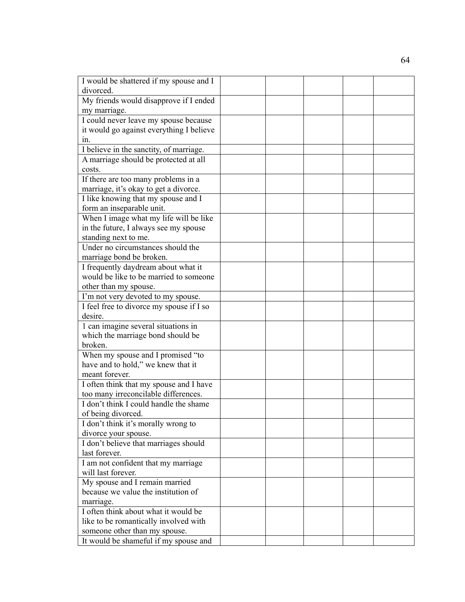| I would be shattered if my spouse and I  |  |  |  |
|------------------------------------------|--|--|--|
| divorced.                                |  |  |  |
| My friends would disapprove if I ended   |  |  |  |
| my marriage.                             |  |  |  |
| I could never leave my spouse because    |  |  |  |
| it would go against everything I believe |  |  |  |
| $1n$ .                                   |  |  |  |
| I believe in the sanctity, of marriage.  |  |  |  |
| A marriage should be protected at all    |  |  |  |
| costs.                                   |  |  |  |
| If there are too many problems in a      |  |  |  |
| marriage, it's okay to get a divorce.    |  |  |  |
| I like knowing that my spouse and I      |  |  |  |
| form an inseparable unit.                |  |  |  |
| When I image what my life will be like   |  |  |  |
| in the future, I always see my spouse    |  |  |  |
| standing next to me.                     |  |  |  |
| Under no circumstances should the        |  |  |  |
| marriage bond be broken.                 |  |  |  |
| I frequently daydream about what it      |  |  |  |
| would be like to be married to someone   |  |  |  |
| other than my spouse.                    |  |  |  |
| I'm not very devoted to my spouse.       |  |  |  |
| I feel free to divorce my spouse if I so |  |  |  |
| desire.                                  |  |  |  |
| 1 can imagine several situations in      |  |  |  |
| which the marriage bond should be        |  |  |  |
| broken.                                  |  |  |  |
| When my spouse and I promised "to        |  |  |  |
| have and to hold," we knew that it       |  |  |  |
| meant forever.                           |  |  |  |
| I often think that my spouse and I have  |  |  |  |
| too many irreconcilable differences.     |  |  |  |
| I don't think I could handle the shame   |  |  |  |
| of being divorced.                       |  |  |  |
| I don't think it's morally wrong to      |  |  |  |
| divorce your spouse.                     |  |  |  |
| I don't believe that marriages should    |  |  |  |
| last forever.                            |  |  |  |
| I am not confident that my marriage      |  |  |  |
| will last forever.                       |  |  |  |
| My spouse and I remain married           |  |  |  |
| because we value the institution of      |  |  |  |
| marriage.                                |  |  |  |
| I often think about what it would be     |  |  |  |
| like to be romantically involved with    |  |  |  |
| someone other than my spouse.            |  |  |  |
| It would be shameful if my spouse and    |  |  |  |
|                                          |  |  |  |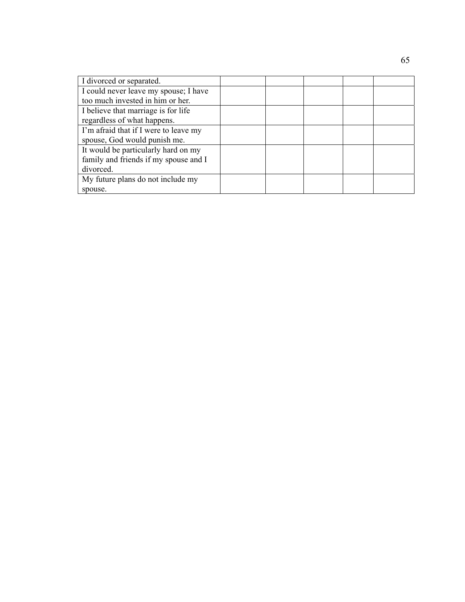| I divorced or separated.              |  |  |  |
|---------------------------------------|--|--|--|
| I could never leave my spouse; I have |  |  |  |
| too much invested in him or her.      |  |  |  |
| I believe that marriage is for life   |  |  |  |
| regardless of what happens.           |  |  |  |
| I'm afraid that if I were to leave my |  |  |  |
| spouse, God would punish me.          |  |  |  |
| It would be particularly hard on my   |  |  |  |
| family and friends if my spouse and I |  |  |  |
| divorced.                             |  |  |  |
| My future plans do not include my     |  |  |  |
| spouse.                               |  |  |  |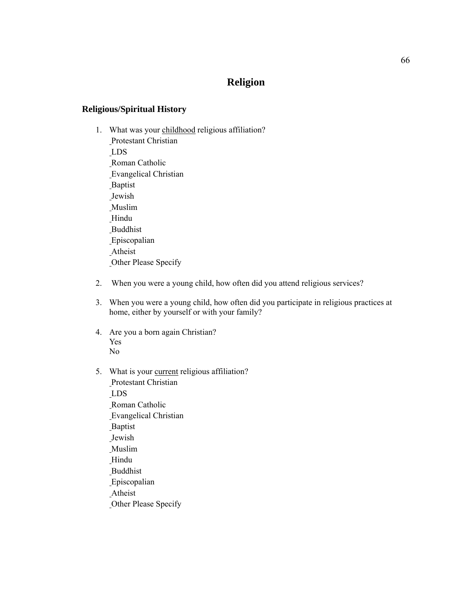# **Religion**

# **Religious/Spiritual History**

- 1. What was your childhood religious affiliation? Protestant Christian LDS Roman Catholic Evangelical Christian Baptist Jewish Muslim Hindu **Buddhist**  Episcopalian Atheist Other Please Specify
- 2. When you were a young child, how often did you attend religious services?
- 3. When you were a young child, how often did you participate in religious practices at home, either by yourself or with your family?
- 4. Are you a born again Christian? Yes No
- 5. What is your current religious affiliation? Protestant Christian LDS Roman Catholic Evangelical Christian **Baptist** Jewish

 Muslim **Hindu**  Buddhist Episcopalian Atheist Other Please Specify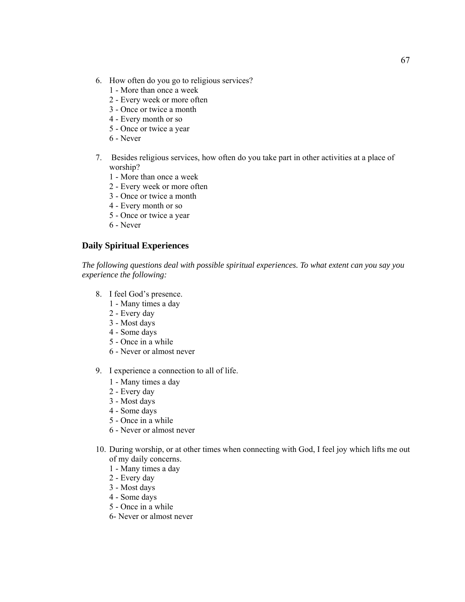- 6. How often do you go to religious services?
	- 1 More than once a week
	- 2 Every week or more often
	- 3 Once or twice a month
	- 4 Every month or so
	- 5 Once or twice a year
	- 6 Never
- 7. Besides religious services, how often do you take part in other activities at a place of worship?
	- 1 More than once a week
	- 2 Every week or more often
	- 3 Once or twice a month
	- 4 Every month or so
	- 5 Once or twice a year
	- 6 Never

# **Daily Spiritual Experiences**

*The following questions deal with possible spiritual experiences. To what extent can you say you experience the following:* 

- 8. I feel God's presence.
	- 1 Many times a day
	- 2 Every day
	- 3 Most days
	- 4 Some days
	- 5 Once in a while
	- 6 Never or almost never
- 9. I experience a connection to all of life.
	- 1 Many times a day
	- 2 Every day
	- 3 Most days
	- 4 Some days
	- 5 Once in a while
	- 6 Never or almost never
- 10. During worship, or at other times when connecting with God, I feel joy which lifts me out of my daily concerns.
	- 1 Many times a day
	- 2 Every day
	- 3 Most days
	- 4 Some days
	- 5 Once in a while
	- 6- Never or almost never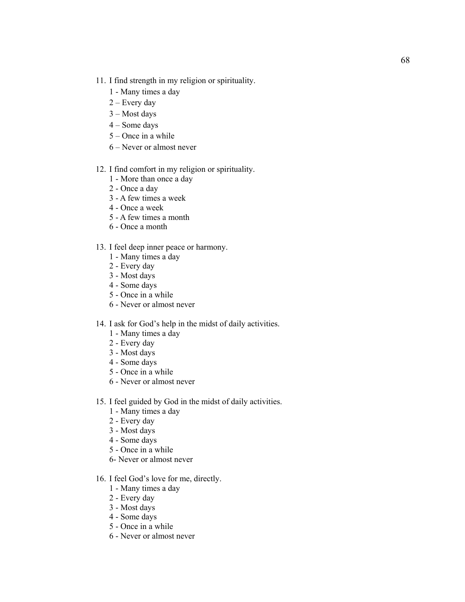- 11. I find strength in my religion or spirituality.
	- 1 Many times a day
	- 2 Every day
	- 3 Most days
	- 4 Some days
	- 5 Once in a while
	- 6 Never or almost never
- 12. I find comfort in my religion or spirituality.
	- 1 More than once a day
	- 2 Once a day
	- 3 A few times a week
	- 4 Once a week
	- 5 A few times a month
	- 6 Once a month
- 13. I feel deep inner peace or harmony.
	- 1 Many times a day
	- 2 Every day
	- 3 Most days
	- 4 Some days
	- 5 Once in a while
	- 6 Never or almost never

# 14. I ask for God's help in the midst of daily activities.

- 1 Many times a day
- 2 Every day
- 3 Most days
- 4 Some days
- 5 Once in a while
- 6 Never or almost never
- 15. I feel guided by God in the midst of daily activities.
	- 1 Many times a day
	- 2 Every day
	- 3 Most days
	- 4 Some days
	- 5 Once in a while
	- 6- Never or almost never
- 16. I feel God's love for me, directly.
	- 1 Many times a day
	- 2 Every day
	- 3 Most days
	- 4 Some days
	- 5 Once in a while
	- 6 Never or almost never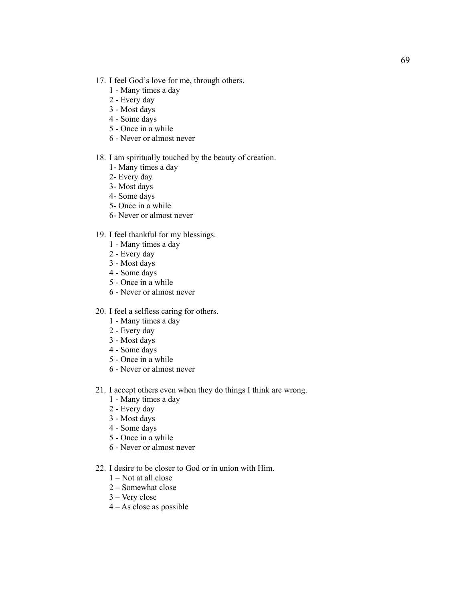- 17. I feel God's love for me, through others.
	- 1 Many times a day
	- 2 Every day
	- 3 Most days
	- 4 Some days
	- 5 Once in a while
	- 6 Never or almost never

# 18. I am spiritually touched by the beauty of creation.

- 1- Many times a day
- 2- Every day
- 3- Most days
- 4- Some days
- 5- Once in a while
- 6- Never or almost never

# 19. I feel thankful for my blessings.

- 1 Many times a day
- 2 Every day
- 3 Most days
- 4 Some days
- 5 Once in a while
- 6 Never or almost never
- 20. I feel a selfless caring for others.
	- 1 Many times a day
	- 2 Every day
	- 3 Most days
	- 4 Some days
	- 5 Once in a while
	- 6 Never or almost never
- 21. I accept others even when they do things I think are wrong.
	- 1 Many times a day
	- 2 Every day
	- 3 Most days
	- 4 Some days
	- 5 Once in a while
	- 6 Never or almost never
- 22. I desire to be closer to God or in union with Him.
	- 1 Not at all close
	- 2 Somewhat close
	- 3 Very close
	- 4 As close as possible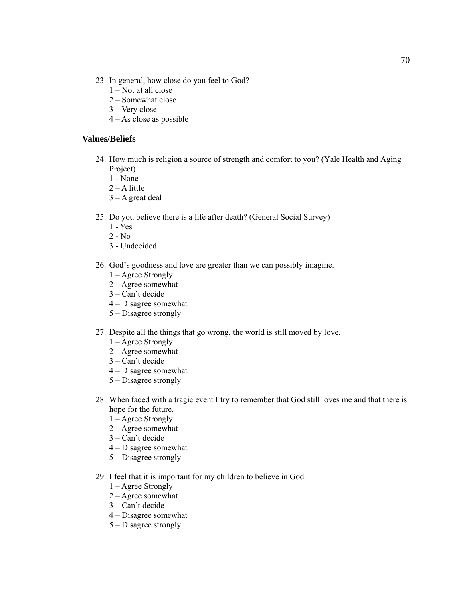- 23. In general, how close do you feel to God?
	- 1 Not at all close
	- 2 Somewhat close
	- 3 Very close
	- 4 As close as possible

#### **Values/Beliefs**

- 24. How much is religion a source of strength and comfort to you? (Yale Health and Aging Project)
	- 1 None
	- $2 A$  little
	- $3 A$  great deal
- 25. Do you believe there is a life after death? (General Social Survey)
	- 1 Yes
	- $2 No$
	- 3 Undecided
- 26. God's goodness and love are greater than we can possibly imagine.
	- 1 Agree Strongly
	- 2 Agree somewhat
	- 3 Can't decide
	- 4 Disagree somewhat
	- 5 Disagree strongly
- 27. Despite all the things that go wrong, the world is still moved by love.
	- 1 Agree Strongly
	- 2 Agree somewhat
	- $3 Can't decide$
	- 4 Disagree somewhat
	- 5 Disagree strongly
- 28. When faced with a tragic event I try to remember that God still loves me and that there is hope for the future.
	- 1 Agree Strongly
	- 2 Agree somewhat
	- 3 Can't decide
	- 4 Disagree somewhat
	- 5 Disagree strongly
- 29. I feel that it is important for my children to believe in God.
	- 1 Agree Strongly
	- 2 Agree somewhat
	- 3 Can't decide
	- 4 Disagree somewhat
	- 5 Disagree strongly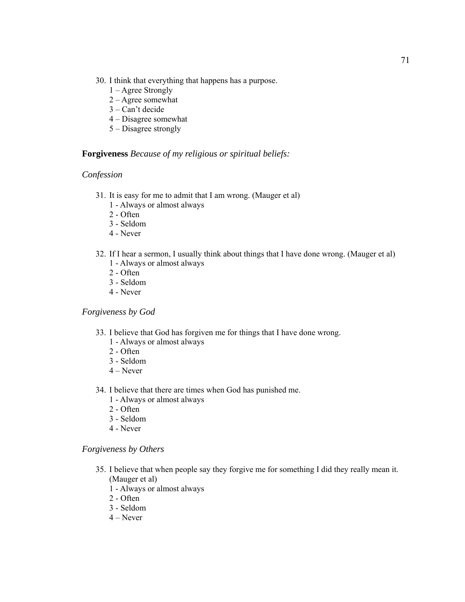- 30. I think that everything that happens has a purpose.
	- 1 Agree Strongly
	- 2 Agree somewhat
	- 3 Can't decide
	- 4 Disagree somewhat
	- 5 Disagree strongly

# **Forgiveness** *Because of my religious or spiritual beliefs:*

#### *Confession*

- 31. It is easy for me to admit that I am wrong. (Mauger et al)
	- 1 Always or almost always
	- 2 Often
	- 3 Seldom
	- 4 Never
- 32. If I hear a sermon, I usually think about things that I have done wrong. (Mauger et al) 1 - Always or almost always
	- 2 Often
	- 3 Seldom
	- 4 Never

# *Forgiveness by God*

- 33. I believe that God has forgiven me for things that I have done wrong.
	- 1 Always or almost always
	- 2 Often
	- 3 Seldom
	- 4 Never
- 34. I believe that there are times when God has punished me.
	- 1 Always or almost always
	- 2 Often
	- 3 Seldom
	- 4 Never

#### *Forgiveness by Others*

- 35. I believe that when people say they forgive me for something I did they really mean it. (Mauger et al)
	- 1 Always or almost always
	- 2 Often
	- 3 Seldom
	- $4 Never$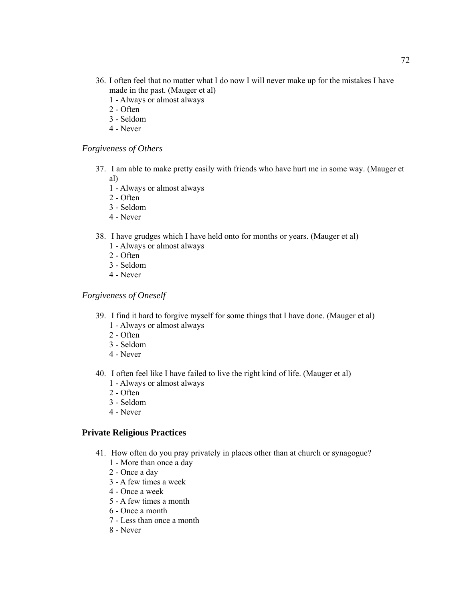- 36. I often feel that no matter what I do now I will never make up for the mistakes I have made in the past. (Mauger et al)
	- 1 Always or almost always
	- 2 Often
	- 3 Seldom
	- 4 Never

#### *Forgiveness of Others*

- 37. I am able to make pretty easily with friends who have hurt me in some way. (Mauger et al)
	- 1 Always or almost always
	- 2 Often
	- 3 Seldom
	- 4 Never
- 38. I have grudges which I have held onto for months or years. (Mauger et al)
	- 1 Always or almost always
	- 2 Often
	- 3 Seldom
	- 4 Never

# *Forgiveness of Oneself*

- 39. I find it hard to forgive myself for some things that I have done. (Mauger et al) 1 - Always or almost always
	- 2 Often
	- 3 Seldom
	- 4 Never
- 40. I often feel like I have failed to live the right kind of life. (Mauger et al)
	- 1 Always or almost always
	- 2 Often
	- 3 Seldom
	- 4 Never

#### **Private Religious Practices**

- 41. How often do you pray privately in places other than at church or synagogue?
	- 1 More than once a day
	- 2 Once a day
	- 3 A few times a week
	- 4 Once a week
	- 5 A few times a month
	- 6 Once a month
	- 7 Less than once a month
	- 8 Never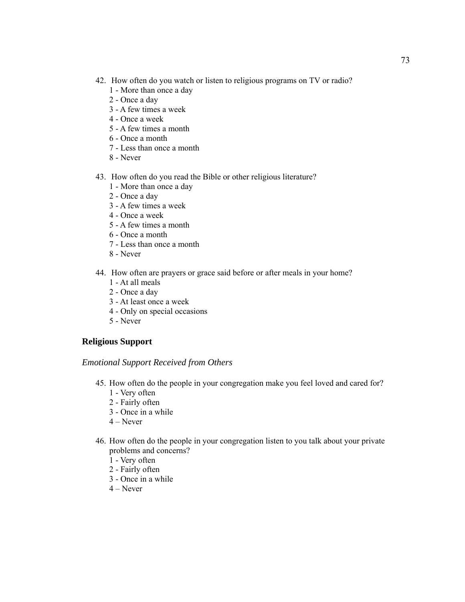- 42. How often do you watch or listen to religious programs on TV or radio?
	- 1 More than once a day
	- 2 Once a day
	- 3 A few times a week
	- 4 Once a week
	- 5 A few times a month
	- 6 Once a month
	- 7 Less than once a month
	- 8 Never
- 43. How often do you read the Bible or other religious literature?
	- 1 More than once a day
	- 2 Once a day
	- 3 A few times a week
	- 4 Once a week
	- 5 A few times a month
	- 6 Once a month
	- 7 Less than once a month
	- 8 Never
- 44. How often are prayers or grace said before or after meals in your home?
	- 1 At all meals
	- 2 Once a day
	- 3 At least once a week
	- 4 Only on special occasions
	- 5 Never

# **Religious Support**

#### *Emotional Support Received from Others*

- 45. How often do the people in your congregation make you feel loved and cared for?
	- 1 Very often
	- 2 Fairly often
	- 3 Once in a while
	- $4 Never$
- 46. How often do the people in your congregation listen to you talk about your private problems and concerns?
	- 1 Very often
	- 2 Fairly often
	- 3 Once in a while
	- $4 -$ Never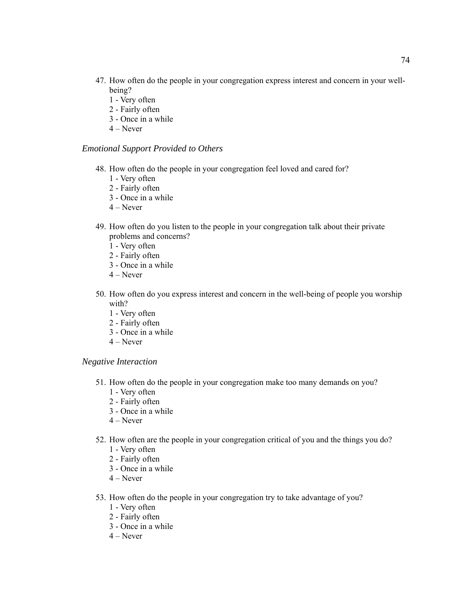- 47. How often do the people in your congregation express interest and concern in your wellbeing?
	- 1 Very often
	- 2 Fairly often
	- 3 Once in a while
	- 4 Never

#### *Emotional Support Provided to Others*

- 48. How often do the people in your congregation feel loved and cared for?
	- 1 Very often
	- 2 Fairly often
	- 3 Once in a while
	- 4 Never
- 49. How often do you listen to the people in your congregation talk about their private problems and concerns?
	- 1 Very often
	- 2 Fairly often
	- 3 Once in a while
	- 4 Never
- 50. How often do you express interest and concern in the well-being of people you worship with?
	- 1 Very often
	- 2 Fairly often
	- 3 Once in a while
	- 4 Never

#### *Negative Interaction*

- 51. How often do the people in your congregation make too many demands on you?
	- 1 Very often
	- 2 Fairly often
	- 3 Once in a while
	- 4 Never
- 52. How often are the people in your congregation critical of you and the things you do? 1 - Very often
	- 2 Fairly often
	- 3 Once in a while
	- 4 Never
- 53. How often do the people in your congregation try to take advantage of you?
	- 1 Very often
	- 2 Fairly often
	- 3 Once in a while
	- $4 Never$